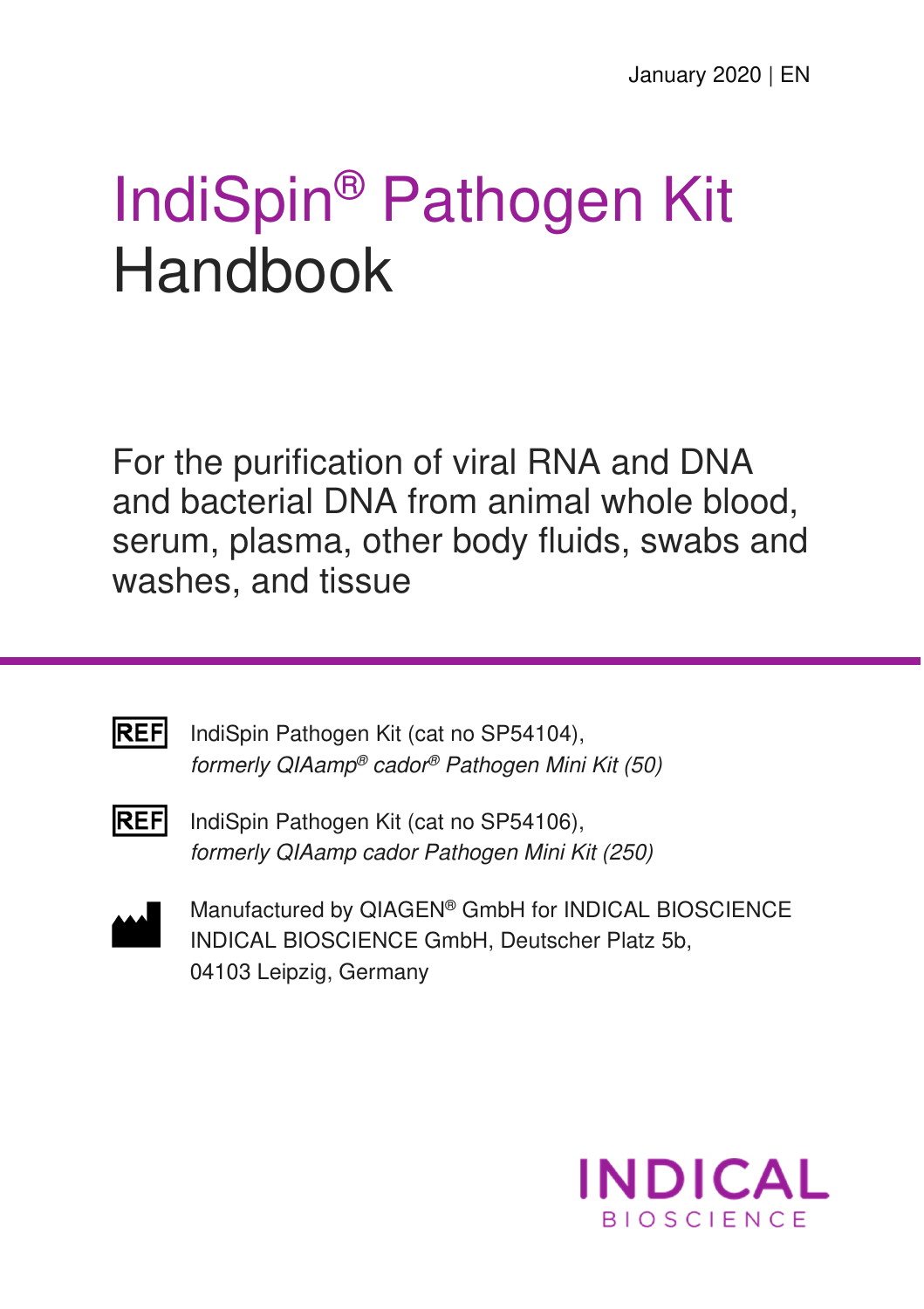# IndiSpin® Pathogen Kit Handbook

For the purification of viral RNA and DNA and bacterial DNA from animal whole blood, serum, plasma, other body fluids, swabs and washes, and tissue



IndiSpin Pathogen Kit (cat no SP54104), formerly QIAamp® cador® Pathogen Mini Kit (50)



**REF** IndiSpin Pathogen Kit (cat no SP54106), formerly QIAamp cador Pathogen Mini Kit (250)



Manufactured by QIAGEN® GmbH for INDICAL BIOSCIENCE INDICAL BIOSCIENCE GmbH, Deutscher Platz 5b, 04103 Leipzig, Germany

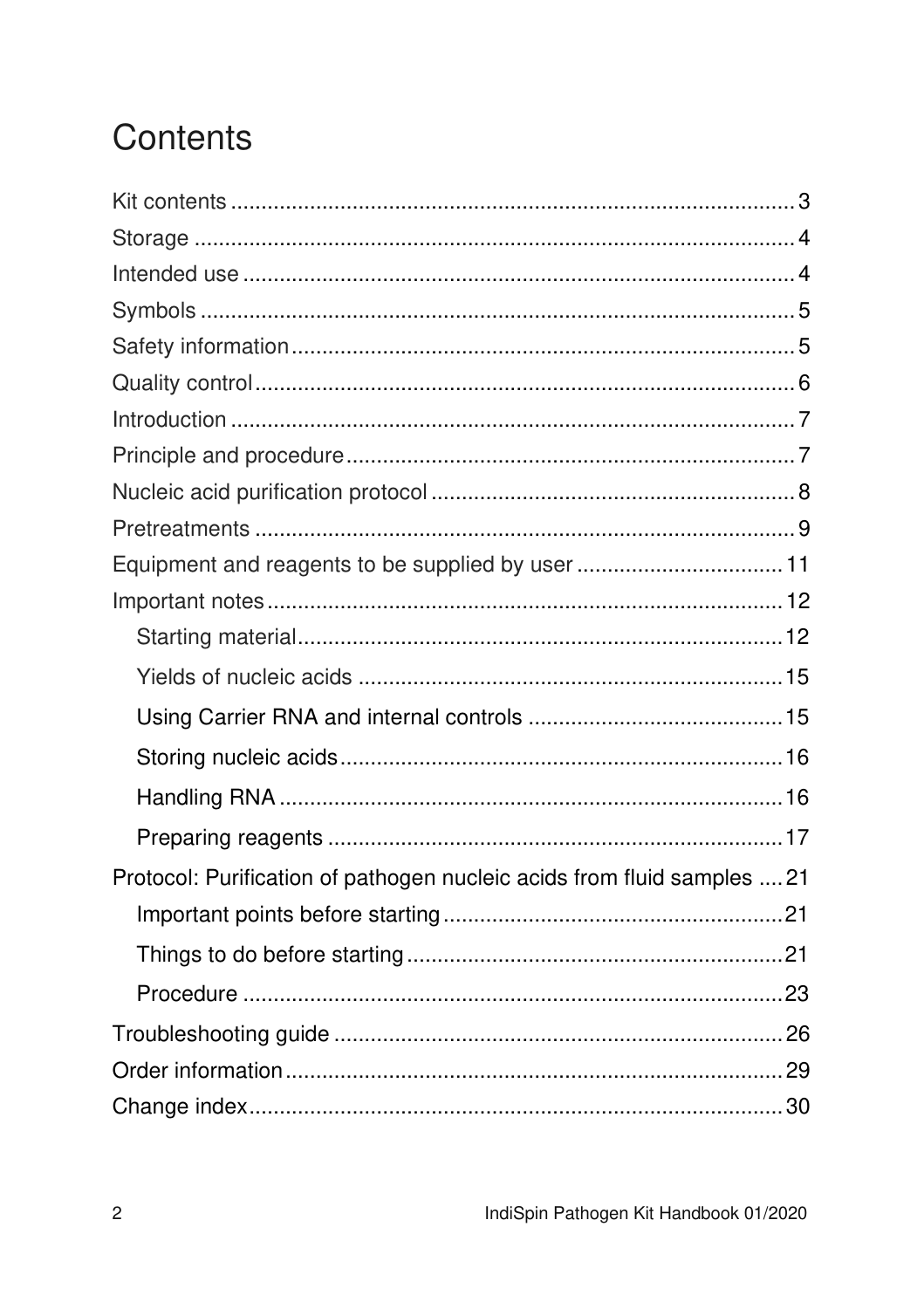## Contents

| Equipment and reagents to be supplied by user11                         |
|-------------------------------------------------------------------------|
|                                                                         |
|                                                                         |
|                                                                         |
|                                                                         |
|                                                                         |
|                                                                         |
|                                                                         |
| Protocol: Purification of pathogen nucleic acids from fluid samples  21 |
|                                                                         |
|                                                                         |
|                                                                         |
|                                                                         |
|                                                                         |
|                                                                         |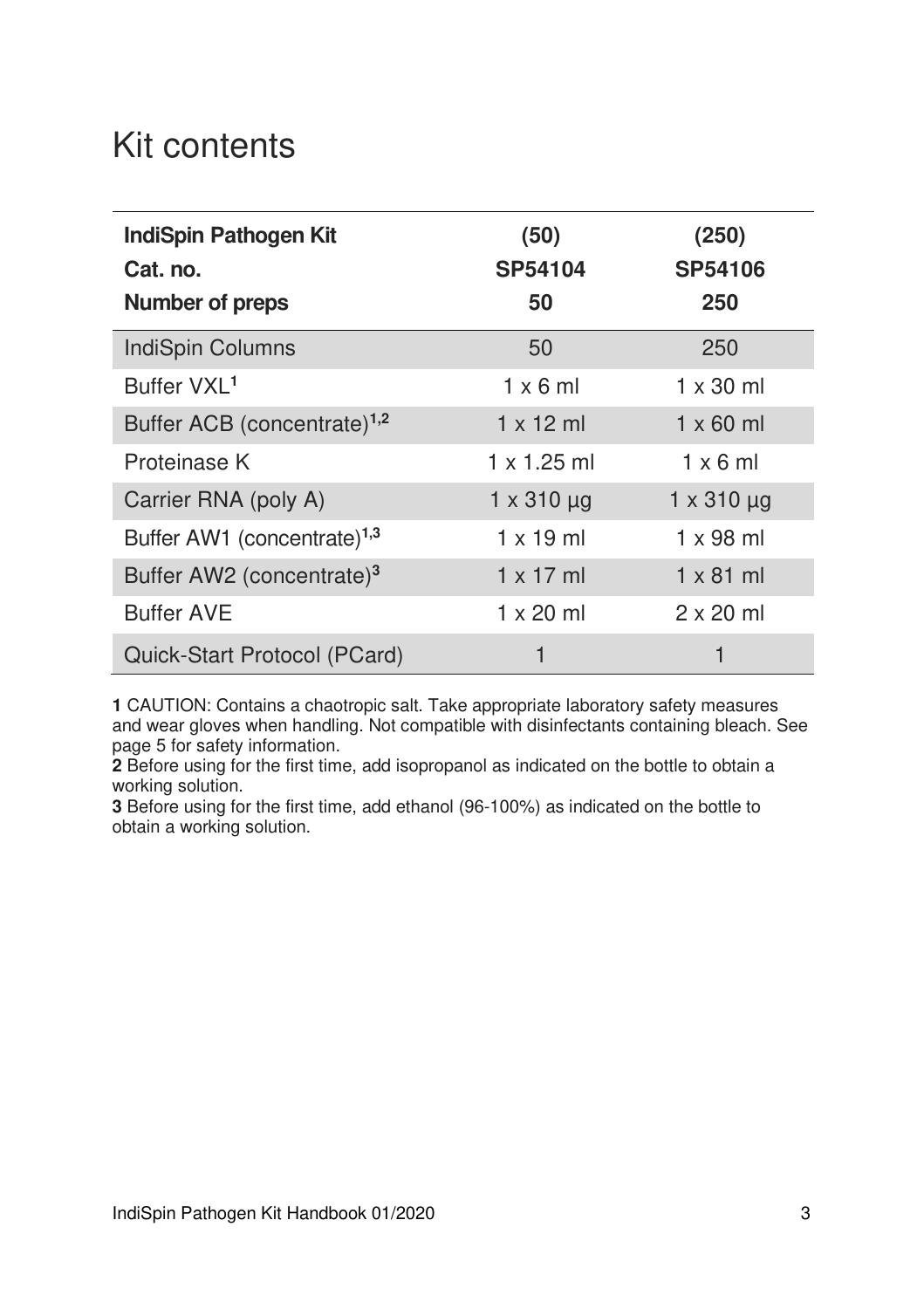## Kit contents

| <b>IndiSpin Pathogen Kit</b><br>Cat. no.<br><b>Number of preps</b> | (50)<br>SP54104<br>50 | (250)<br>SP54106<br>250 |
|--------------------------------------------------------------------|-----------------------|-------------------------|
| IndiSpin Columns                                                   | 50                    | 250                     |
| Buffer VXL <sup>1</sup>                                            | $1 \times 6$ ml       | $1 \times 30$ ml        |
| Buffer ACB (concentrate) <sup>1,2</sup>                            | $1 \times 12$ ml      | $1 \times 60$ ml        |
| Proteinase K                                                       | $1 \times 1.25$ ml    | $1 \times 6$ ml         |
| Carrier RNA (poly A)                                               | $1 \times 310 \mu g$  | $1 \times 310 \mu g$    |
| Buffer AW1 (concentrate) <sup>1,3</sup>                            | $1 \times 19$ ml      | $1 \times 98$ ml        |
| Buffer AW2 (concentrate) <sup>3</sup>                              | $1 \times 17$ ml      | $1 \times 81$ ml        |
| <b>Buffer AVE</b>                                                  | $1 \times 20$ ml      | $2 \times 20$ ml        |
| Quick-Start Protocol (PCard)                                       |                       |                         |

**1** CAUTION: Contains a chaotropic salt. Take appropriate laboratory safety measures and wear gloves when handling. Not compatible with disinfectants containing bleach. See page 5 for safety information.

**2** Before using for the first time, add isopropanol as indicated on the bottle to obtain a working solution.

**3** Before using for the first time, add ethanol (96-100%) as indicated on the bottle to obtain a working solution.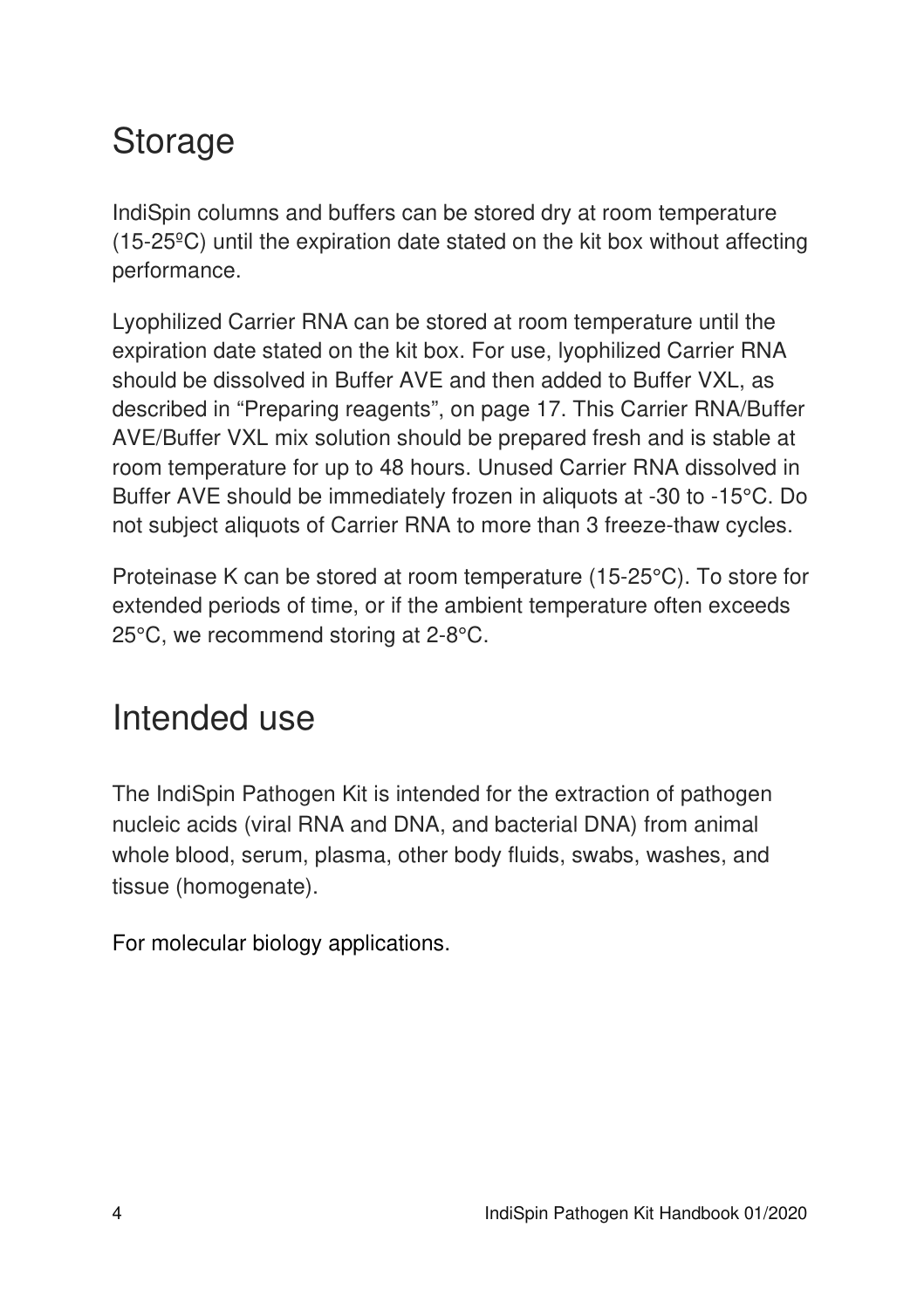## Storage

IndiSpin columns and buffers can be stored dry at room temperature (15-25ºC) until the expiration date stated on the kit box without affecting performance.

Lyophilized Carrier RNA can be stored at room temperature until the expiration date stated on the kit box. For use, lyophilized Carrier RNA should be dissolved in Buffer AVE and then added to Buffer VXL, as described in "Preparing reagents", on page 17. This Carrier RNA/Buffer AVE/Buffer VXL mix solution should be prepared fresh and is stable at room temperature for up to 48 hours. Unused Carrier RNA dissolved in Buffer AVE should be immediately frozen in aliquots at -30 to -15°C. Do not subject aliquots of Carrier RNA to more than 3 freeze-thaw cycles.

Proteinase K can be stored at room temperature (15-25°C). To store for extended periods of time, or if the ambient temperature often exceeds 25°C, we recommend storing at 2-8°C.

## Intended use

The IndiSpin Pathogen Kit is intended for the extraction of pathogen nucleic acids (viral RNA and DNA, and bacterial DNA) from animal whole blood, serum, plasma, other body fluids, swabs, washes, and tissue (homogenate).

For molecular biology applications.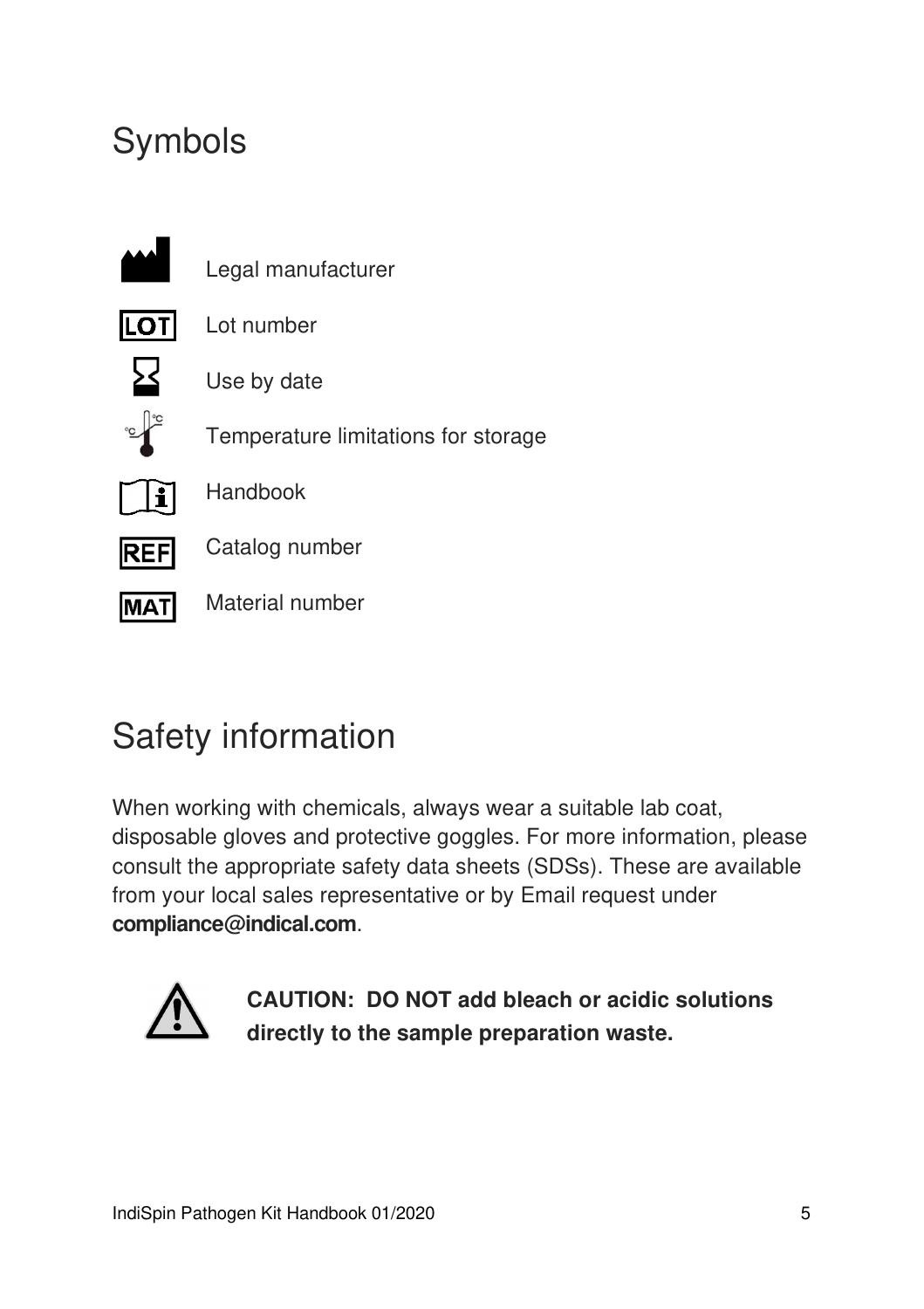## Symbols



## Safety information

When working with chemicals, always wear a suitable lab coat, disposable gloves and protective goggles. For more information, please consult the appropriate safety data sheets (SDSs). These are available from your local sales representative or by Email request under **compliance@indical.com**.



**CAUTION: DO NOT add bleach or acidic solutions directly to the sample preparation waste.**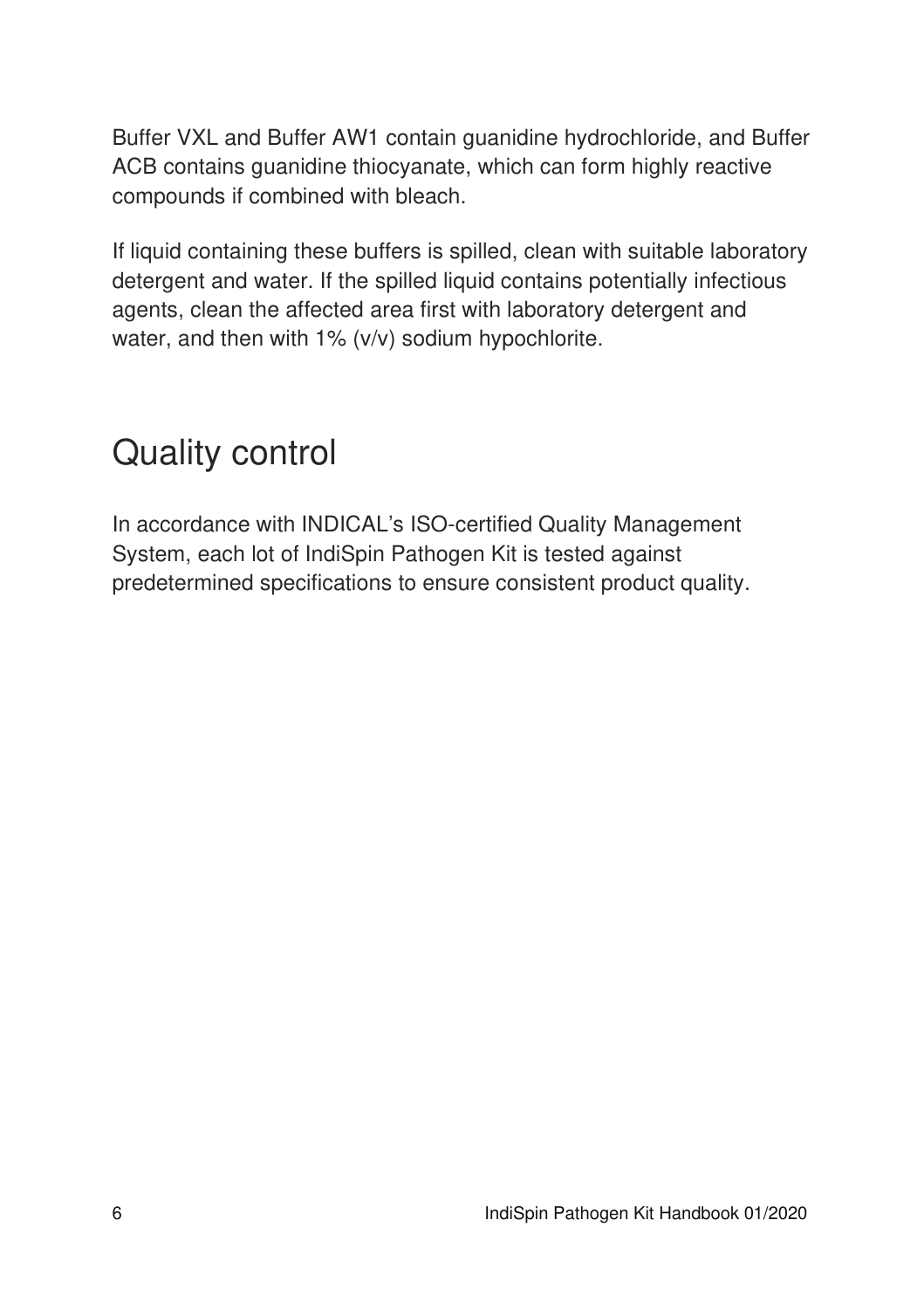Buffer VXL and Buffer AW1 contain guanidine hydrochloride, and Buffer ACB contains guanidine thiocyanate, which can form highly reactive compounds if combined with bleach.

If liquid containing these buffers is spilled, clean with suitable laboratory detergent and water. If the spilled liquid contains potentially infectious agents, clean the affected area first with laboratory detergent and water, and then with 1% (v/v) sodium hypochlorite.

## Quality control

In accordance with INDICAL's ISO-certified Quality Management System, each lot of IndiSpin Pathogen Kit is tested against predetermined specifications to ensure consistent product quality.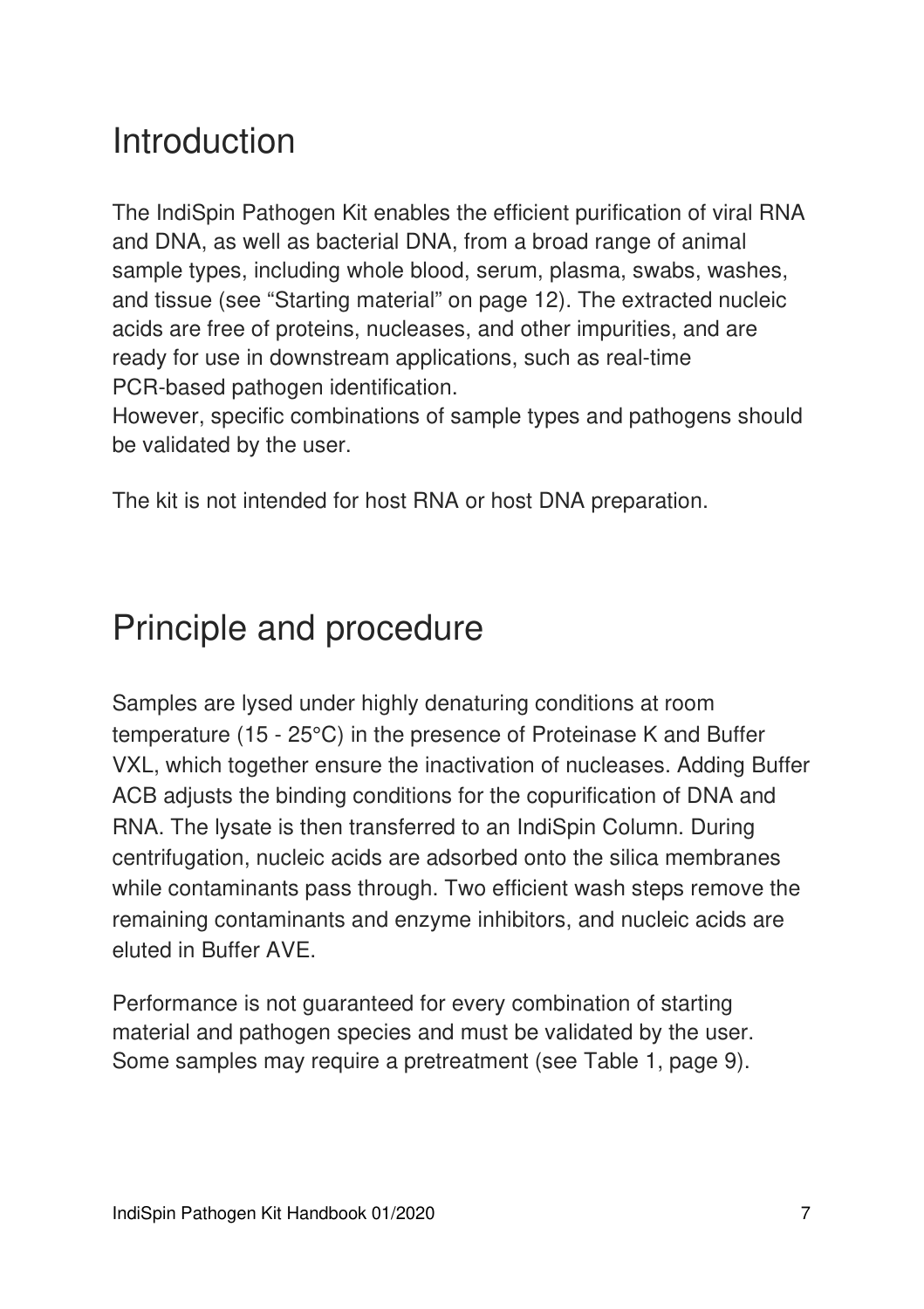## Introduction

The IndiSpin Pathogen Kit enables the efficient purification of viral RNA and DNA, as well as bacterial DNA, from a broad range of animal sample types, including whole blood, serum, plasma, swabs, washes, and tissue (see "Starting material" on page 12). The extracted nucleic acids are free of proteins, nucleases, and other impurities, and are ready for use in downstream applications, such as real-time PCR-based pathogen identification.

However, specific combinations of sample types and pathogens should be validated by the user.

The kit is not intended for host RNA or host DNA preparation.

## Principle and procedure

Samples are lysed under highly denaturing conditions at room temperature (15 - 25°C) in the presence of Proteinase K and Buffer VXL, which together ensure the inactivation of nucleases. Adding Buffer ACB adjusts the binding conditions for the copurification of DNA and RNA. The lysate is then transferred to an IndiSpin Column. During centrifugation, nucleic acids are adsorbed onto the silica membranes while contaminants pass through. Two efficient wash steps remove the remaining contaminants and enzyme inhibitors, and nucleic acids are eluted in Buffer AVE.

Performance is not guaranteed for every combination of starting material and pathogen species and must be validated by the user. Some samples may require a pretreatment (see Table 1, page 9).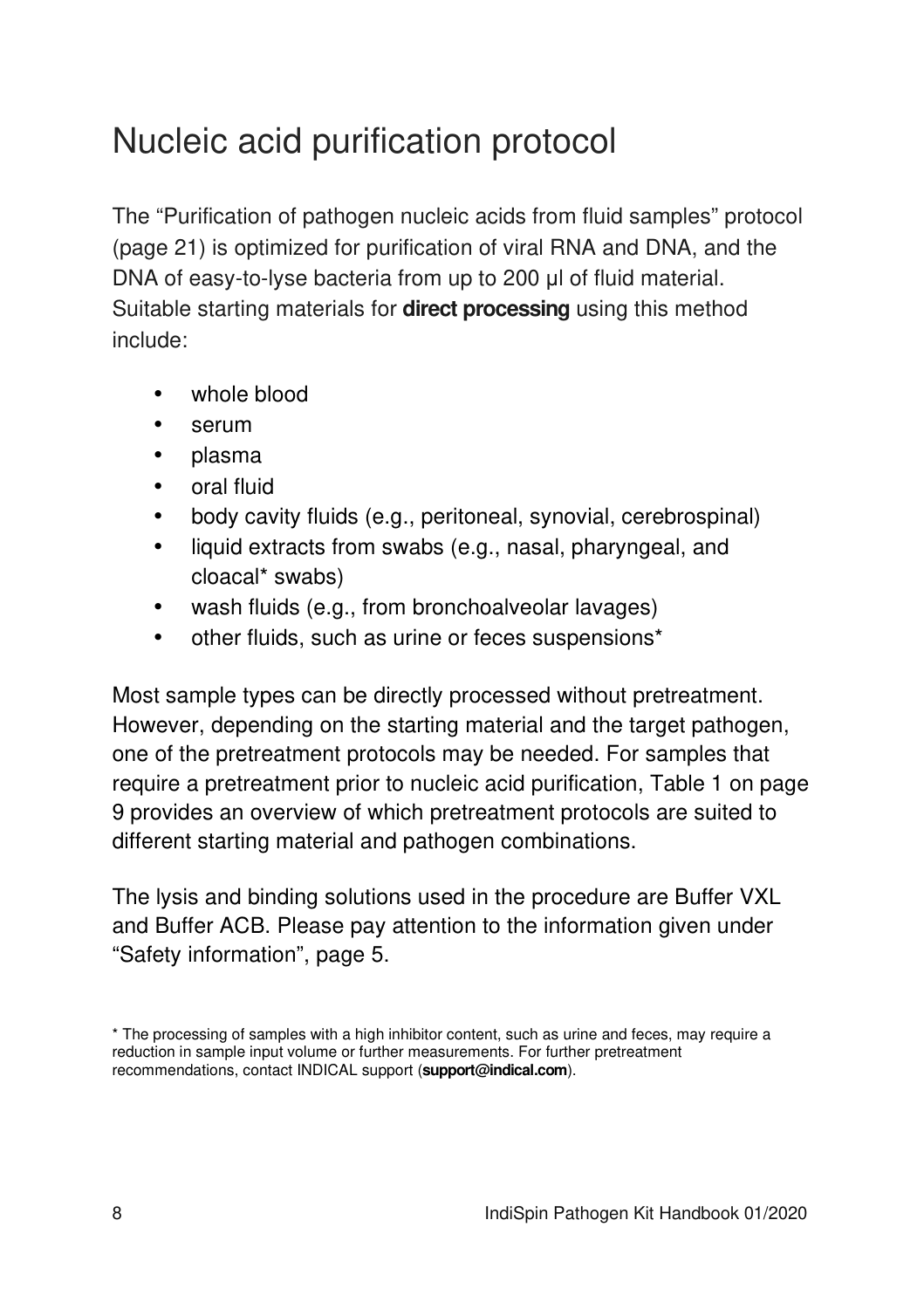## Nucleic acid purification protocol

The "Purification of pathogen nucleic acids from fluid samples" protocol (page 21) is optimized for purification of viral RNA and DNA, and the DNA of easy-to-lyse bacteria from up to 200 μl of fluid material. Suitable starting materials for **direct processing** using this method include:

- whole blood
- serum
- plasma
- oral fluid
- body cavity fluids (e.g., peritoneal, synovial, cerebrospinal)
- liquid extracts from swabs (e.g., nasal, pharyngeal, and cloacal\* swabs)
- wash fluids (e.g., from bronchoalveolar lavages)
- other fluids, such as urine or feces suspensions\*

Most sample types can be directly processed without pretreatment. However, depending on the starting material and the target pathogen, one of the pretreatment protocols may be needed. For samples that require a pretreatment prior to nucleic acid purification, Table 1 on page 9 provides an overview of which pretreatment protocols are suited to different starting material and pathogen combinations.

The lysis and binding solutions used in the procedure are Buffer VXL and Buffer ACB. Please pay attention to the information given under "Safety information", page 5.

<sup>\*</sup> The processing of samples with a high inhibitor content, such as urine and feces, may require a reduction in sample input volume or further measurements. For further pretreatment recommendations, contact INDICAL support (**support@indical.com**).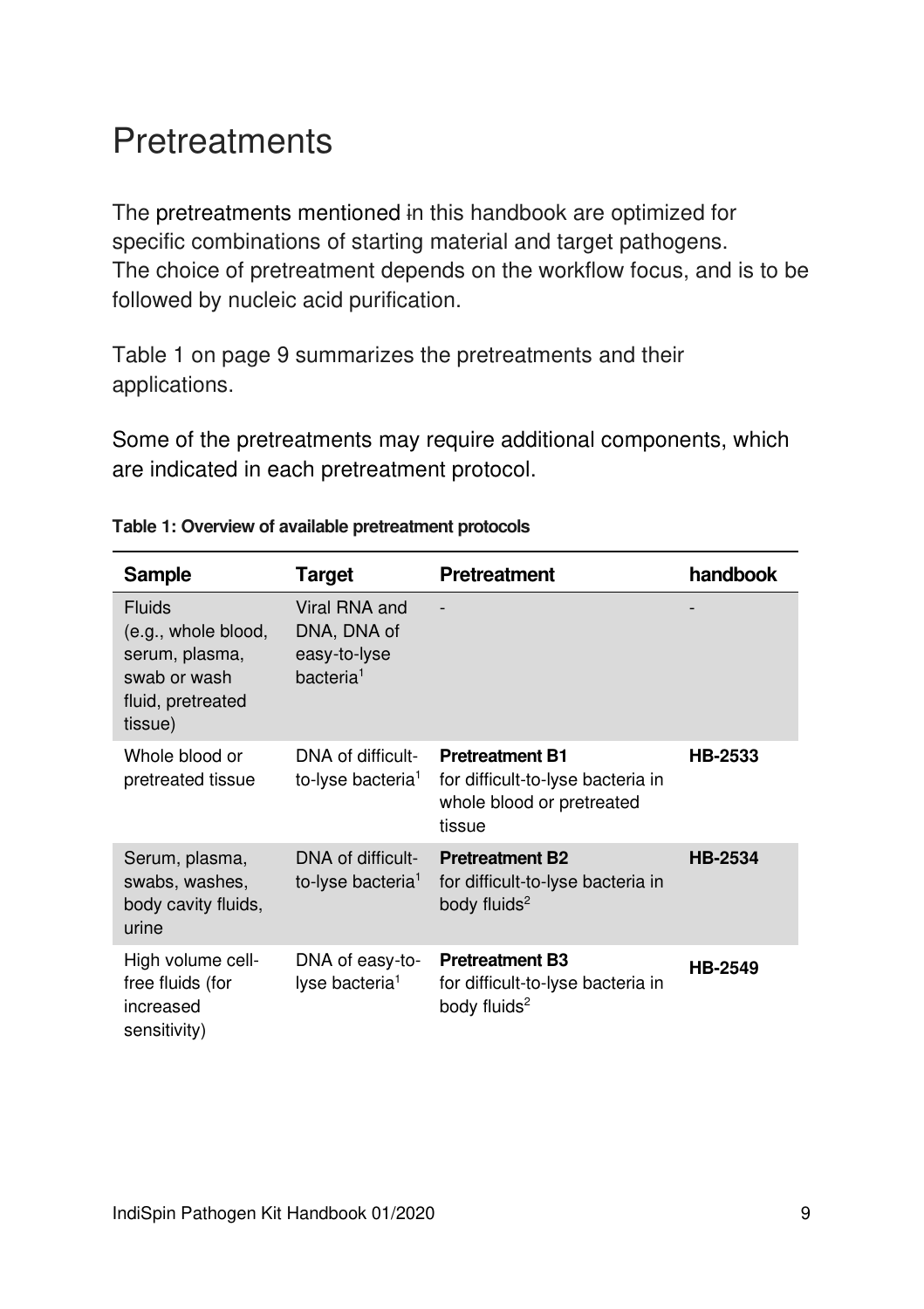## **Pretreatments**

The pretreatments mentioned in this handbook are optimized for specific combinations of starting material and target pathogens. The choice of pretreatment depends on the workflow focus, and is to be followed by nucleic acid purification.

Table 1 on page 9 summarizes the pretreatments and their applications.

Some of the pretreatments may require additional components, which are indicated in each pretreatment protocol.

| Sample                                                                                                 | Target                                                                | <b>Pretreatment</b>                                                                                | handbook       |
|--------------------------------------------------------------------------------------------------------|-----------------------------------------------------------------------|----------------------------------------------------------------------------------------------------|----------------|
| <b>Fluids</b><br>(e.g., whole blood,<br>serum, plasma,<br>swab or wash<br>fluid, pretreated<br>tissue) | Viral RNA and<br>DNA, DNA of<br>easy-to-lyse<br>bacteria <sup>1</sup> |                                                                                                    |                |
| Whole blood or<br>pretreated tissue                                                                    | DNA of difficult-<br>to-lyse bacteria <sup>1</sup>                    | <b>Pretreatment B1</b><br>for difficult-to-lyse bacteria in<br>whole blood or pretreated<br>tissue | <b>HB-2533</b> |
| Serum, plasma,<br>swabs, washes,<br>body cavity fluids,<br>urine                                       | DNA of difficult-<br>to-lyse bacteria <sup>1</sup>                    | <b>Pretreatment B2</b><br>for difficult-to-lyse bacteria in<br>body fluids <sup>2</sup>            | <b>HB-2534</b> |
| High volume cell-<br>free fluids (for<br>increased<br>sensitivity)                                     | DNA of easy-to-<br>lyse bacteria <sup>1</sup>                         | <b>Pretreatment B3</b><br>for difficult-to-lyse bacteria in<br>body fluids <sup>2</sup>            | <b>HB-2549</b> |

#### **Table 1: Overview of available pretreatment protocols**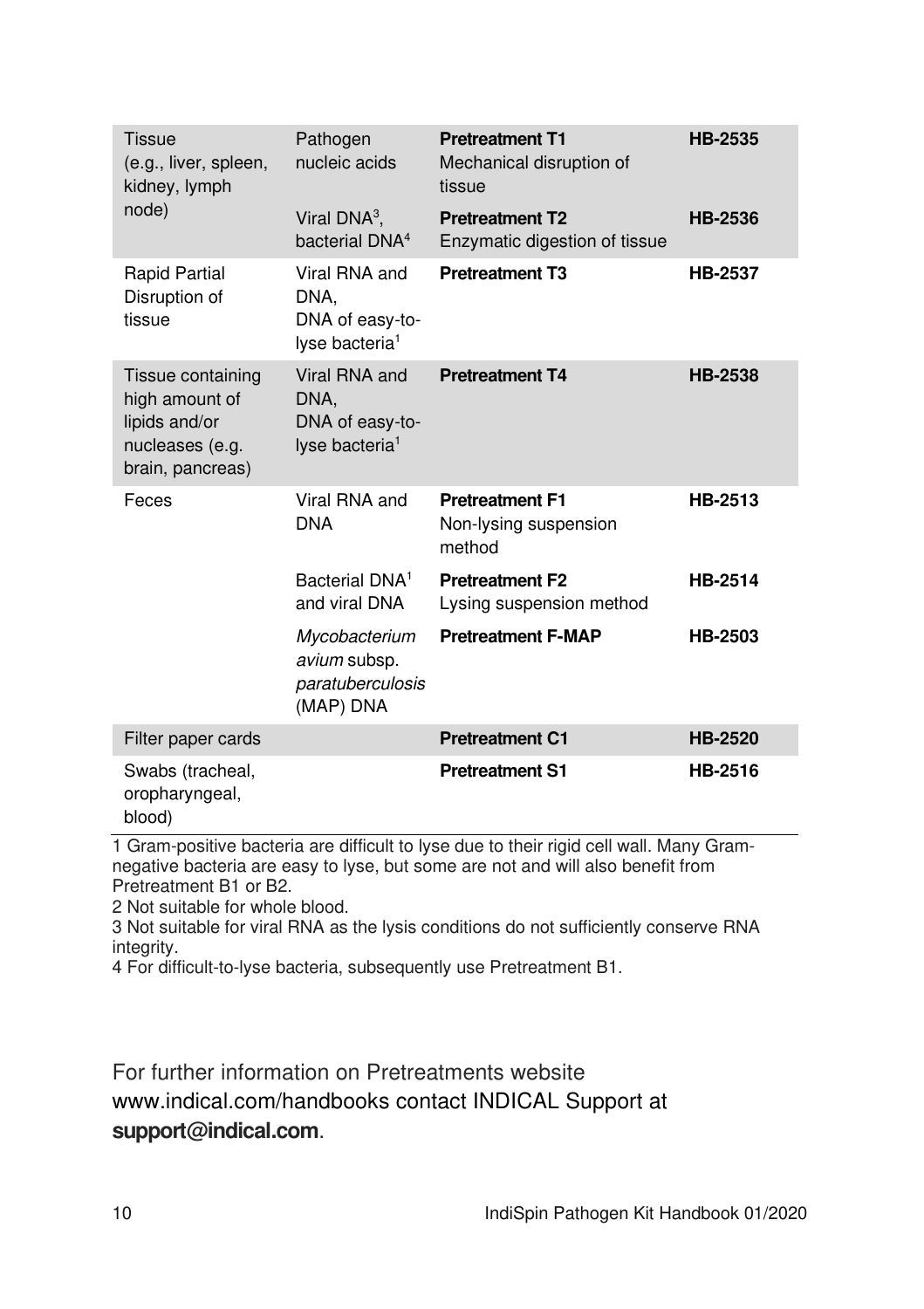| Tissue<br>(e.g., liver, spleen,<br>kidney, lymph                                            | Pathogen<br>nucleic acids                                              | <b>Pretreatment T1</b><br>Mechanical disruption of<br>tissue | <b>HB-2535</b> |
|---------------------------------------------------------------------------------------------|------------------------------------------------------------------------|--------------------------------------------------------------|----------------|
| node)                                                                                       | Viral $DNA^3$ ,<br>bacterial DNA <sup>4</sup>                          | <b>Pretreatment T2</b><br>Enzymatic digestion of tissue      | HB-2536        |
| <b>Rapid Partial</b><br>Disruption of<br>tissue                                             | Viral RNA and<br>DNA.<br>DNA of easy-to-<br>lyse bacteria <sup>1</sup> | <b>Pretreatment T3</b>                                       | <b>HB-2537</b> |
| Tissue containing<br>high amount of<br>lipids and/or<br>nucleases (e.g.<br>brain, pancreas) | Viral RNA and<br>DNA,<br>DNA of easy-to-<br>lyse bacteria <sup>1</sup> | <b>Pretreatment T4</b>                                       | HB-2538        |
| Feces                                                                                       | Viral RNA and<br><b>DNA</b>                                            | <b>Pretreatment F1</b><br>Non-lysing suspension<br>method    | HB-2513        |
|                                                                                             | Bacterial DNA <sup>1</sup><br>and viral DNA                            | <b>Pretreatment F2</b><br>Lysing suspension method           | HB-2514        |
|                                                                                             | Mycobacterium<br>avium subsp.<br>paratuberculosis<br>(MAP) DNA         | <b>Pretreatment F-MAP</b>                                    | HB-2503        |
| Filter paper cards                                                                          |                                                                        | <b>Pretreatment C1</b>                                       | <b>HB-2520</b> |
| Swabs (tracheal,<br>oropharyngeal,<br>blood)                                                |                                                                        | <b>Pretreatment S1</b>                                       | HB-2516        |

1 Gram-positive bacteria are difficult to lyse due to their rigid cell wall. Many Gramnegative bacteria are easy to lyse, but some are not and will also benefit from Pretreatment B1 or B2.

2 Not suitable for whole blood.

3 Not suitable for viral RNA as the lysis conditions do not sufficiently conserve RNA integrity.

4 For difficult-to-lyse bacteria, subsequently use Pretreatment B1.

For further information on Pretreatments website www.indical.com/handbooks contact INDICAL Support at **support@indical.com**.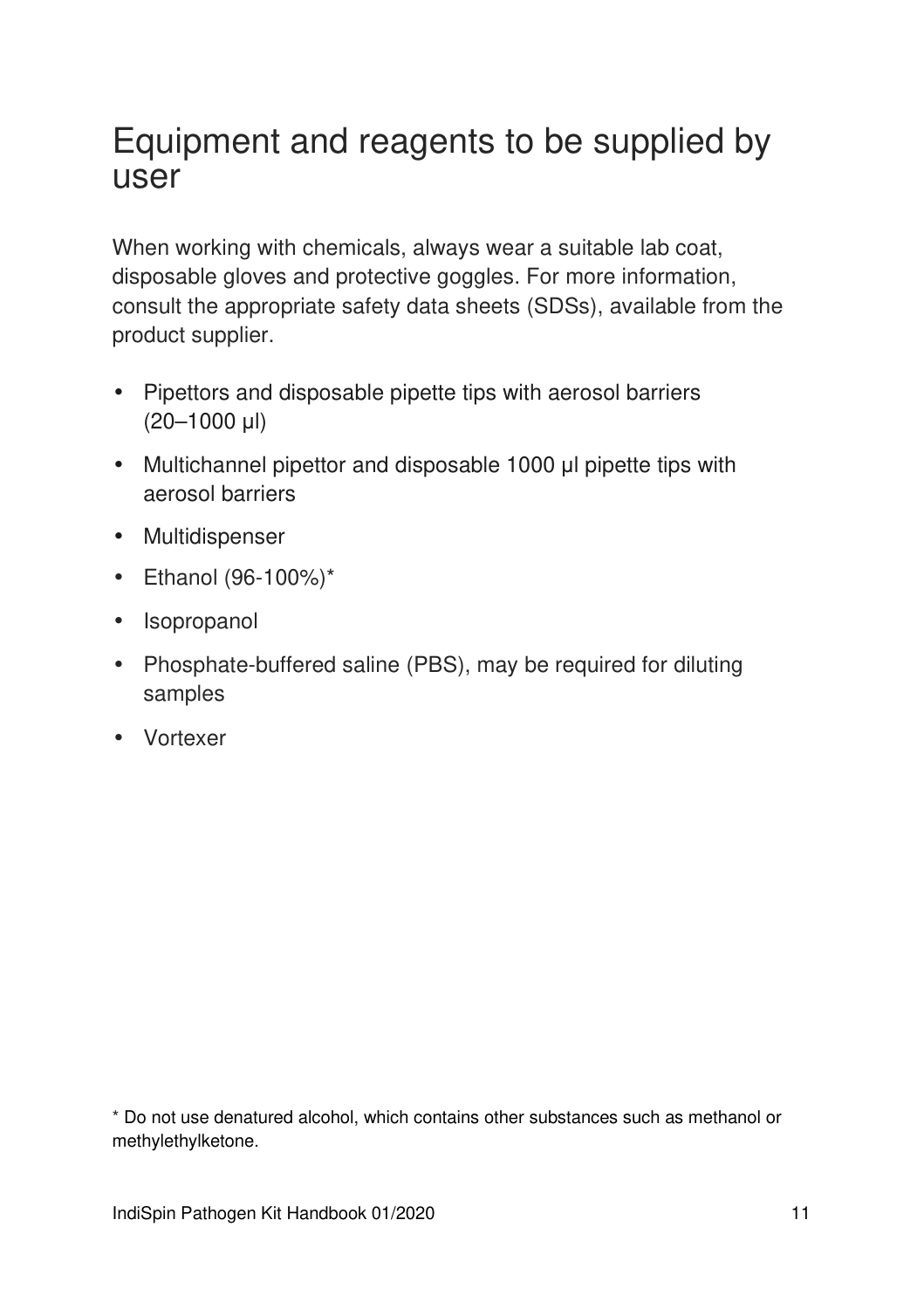## Equipment and reagents to be supplied by user

When working with chemicals, always wear a suitable lab coat, disposable gloves and protective goggles. For more information, consult the appropriate safety data sheets (SDSs), available from the product supplier.

- Pipettors and disposable pipette tips with aerosol barriers (20–1000 μl)
- Multichannel pipettor and disposable 1000 μl pipette tips with aerosol barriers
- Multidispenser
- Ethanol (96-100%)\*
- Isopropanol
- Phosphate-buffered saline (PBS), may be required for diluting samples
- Vortexer

\* Do not use denatured alcohol, which contains other substances such as methanol or methylethylketone.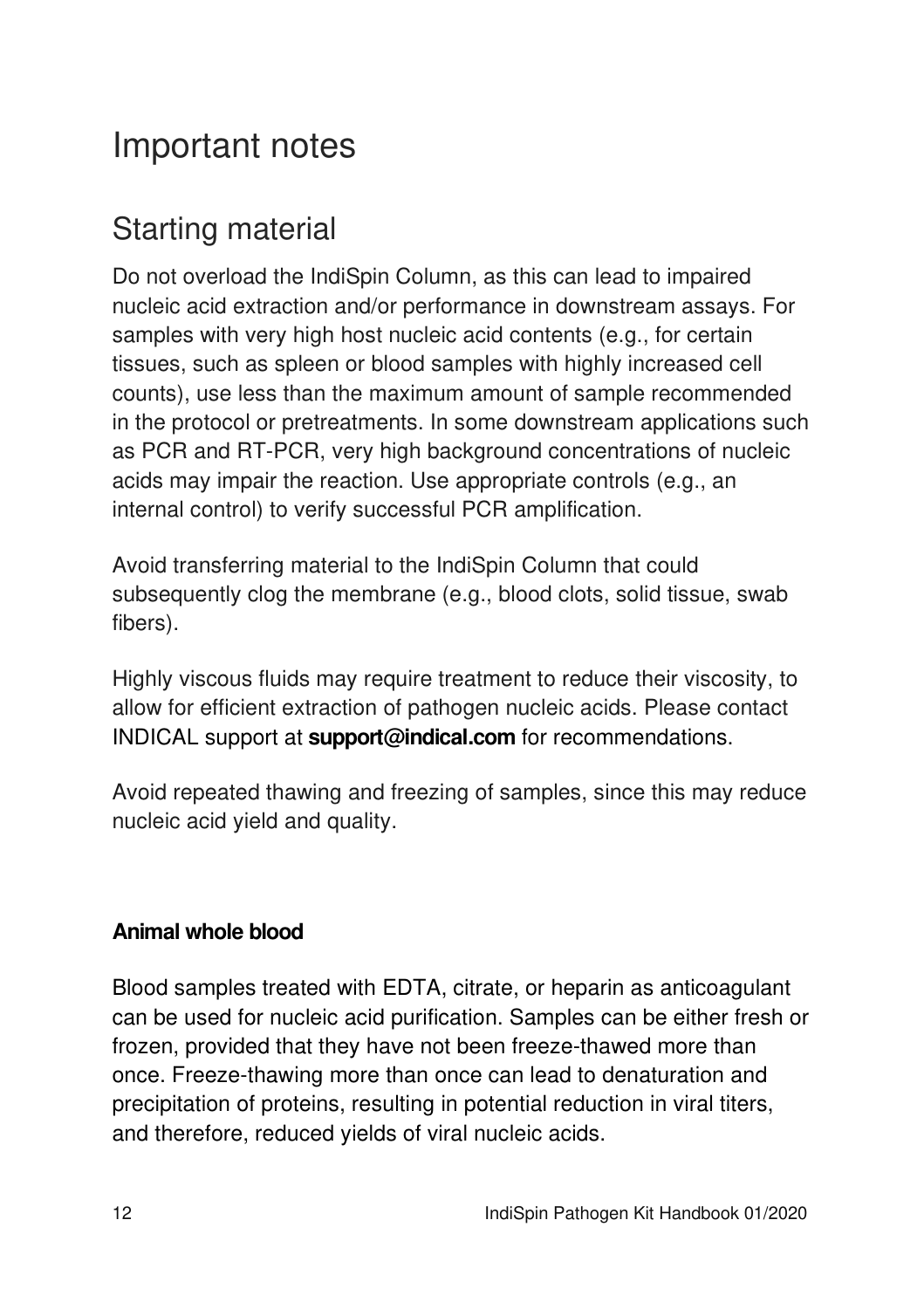## Important notes

## Starting material

Do not overload the IndiSpin Column, as this can lead to impaired nucleic acid extraction and/or performance in downstream assays. For samples with very high host nucleic acid contents (e.g., for certain tissues, such as spleen or blood samples with highly increased cell counts), use less than the maximum amount of sample recommended in the protocol or pretreatments. In some downstream applications such as PCR and RT-PCR, very high background concentrations of nucleic acids may impair the reaction. Use appropriate controls (e.g., an internal control) to verify successful PCR amplification.

Avoid transferring material to the IndiSpin Column that could subsequently clog the membrane (e.g., blood clots, solid tissue, swab fibers).

Highly viscous fluids may require treatment to reduce their viscosity, to allow for efficient extraction of pathogen nucleic acids. Please contact INDICAL support at **support@indical.com** for recommendations.

Avoid repeated thawing and freezing of samples, since this may reduce nucleic acid yield and quality.

#### **Animal whole blood**

Blood samples treated with EDTA, citrate, or heparin as anticoagulant can be used for nucleic acid purification. Samples can be either fresh or frozen, provided that they have not been freeze-thawed more than once. Freeze-thawing more than once can lead to denaturation and precipitation of proteins, resulting in potential reduction in viral titers, and therefore, reduced yields of viral nucleic acids.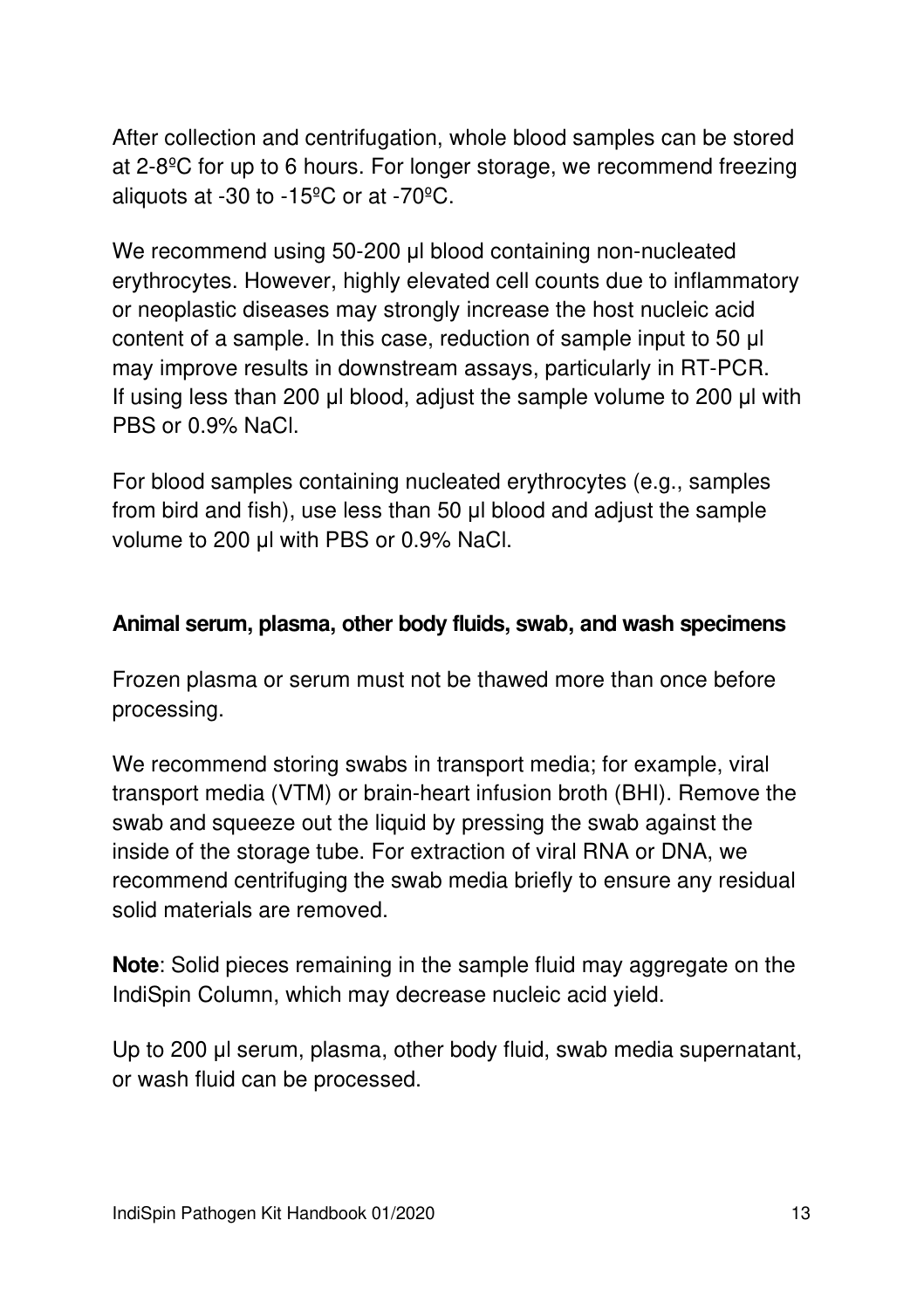After collection and centrifugation, whole blood samples can be stored at 2-8ºC for up to 6 hours. For longer storage, we recommend freezing aliquots at -30 to -15ºC or at -70ºC.

We recommend using 50-200 μl blood containing non-nucleated erythrocytes. However, highly elevated cell counts due to inflammatory or neoplastic diseases may strongly increase the host nucleic acid content of a sample. In this case, reduction of sample input to 50 μl may improve results in downstream assays, particularly in RT-PCR. If using less than 200 μl blood, adjust the sample volume to 200 μl with PBS or 0.9% NaCl.

For blood samples containing nucleated erythrocytes (e.g., samples from bird and fish), use less than 50 μl blood and adjust the sample volume to 200 μl with PBS or 0.9% NaCl.

#### **Animal serum, plasma, other body fluids, swab, and wash specimens**

Frozen plasma or serum must not be thawed more than once before processing.

We recommend storing swabs in transport media; for example, viral transport media (VTM) or brain-heart infusion broth (BHI). Remove the swab and squeeze out the liquid by pressing the swab against the inside of the storage tube. For extraction of viral RNA or DNA, we recommend centrifuging the swab media briefly to ensure any residual solid materials are removed.

**Note**: Solid pieces remaining in the sample fluid may aggregate on the IndiSpin Column, which may decrease nucleic acid yield.

Up to 200 μl serum, plasma, other body fluid, swab media supernatant, or wash fluid can be processed.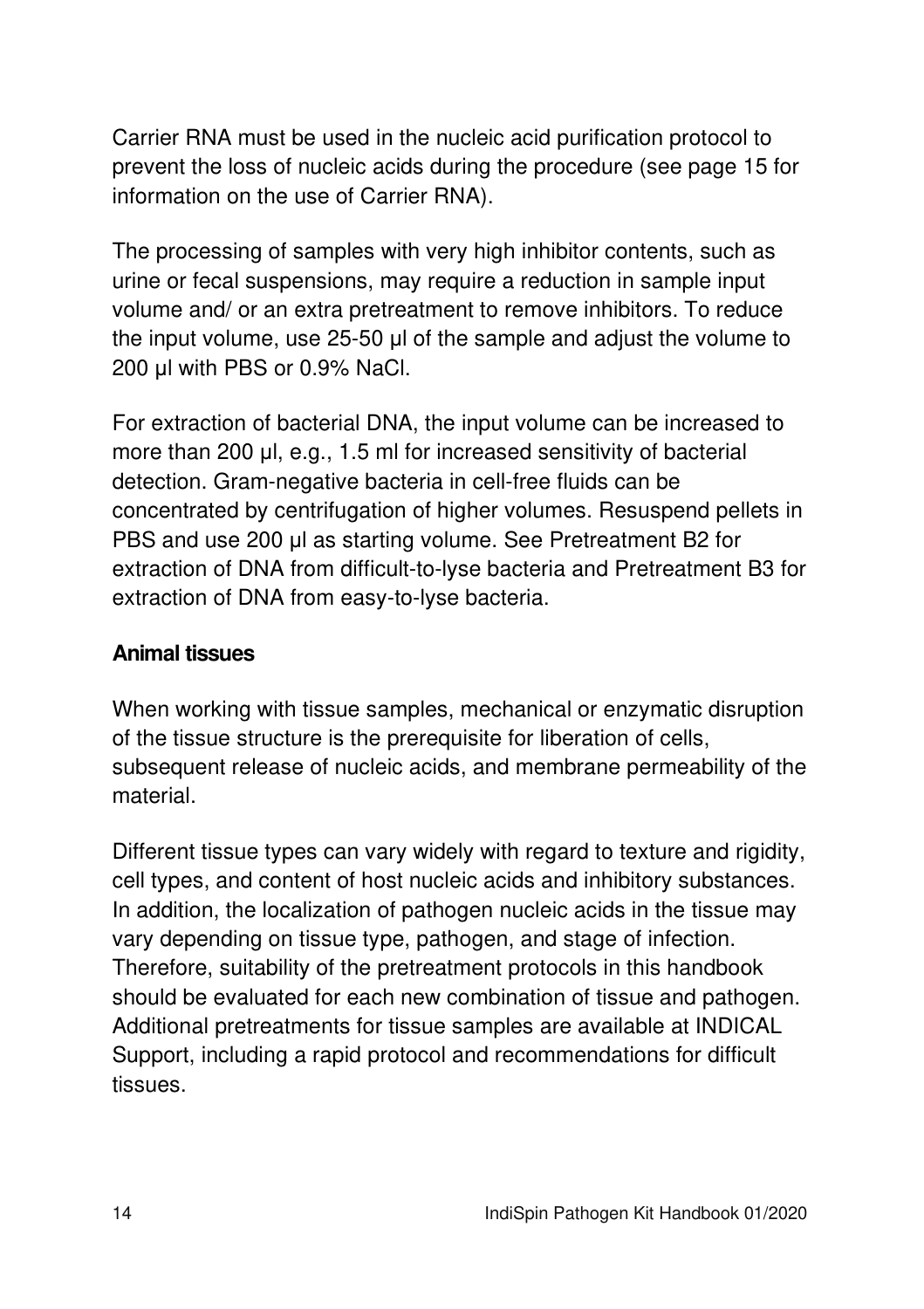Carrier RNA must be used in the nucleic acid purification protocol to prevent the loss of nucleic acids during the procedure (see page 15 for information on the use of Carrier RNA).

The processing of samples with very high inhibitor contents, such as urine or fecal suspensions, may require a reduction in sample input volume and/ or an extra pretreatment to remove inhibitors. To reduce the input volume, use 25-50 μl of the sample and adjust the volume to 200 μl with PBS or 0.9% NaCl.

For extraction of bacterial DNA, the input volume can be increased to more than 200 μl, e.g., 1.5 ml for increased sensitivity of bacterial detection. Gram-negative bacteria in cell-free fluids can be concentrated by centrifugation of higher volumes. Resuspend pellets in PBS and use 200 μl as starting volume. See Pretreatment B2 for extraction of DNA from difficult-to-lyse bacteria and Pretreatment B3 for extraction of DNA from easy-to-lyse bacteria.

#### **Animal tissues**

When working with tissue samples, mechanical or enzymatic disruption of the tissue structure is the prerequisite for liberation of cells, subsequent release of nucleic acids, and membrane permeability of the material.

Different tissue types can vary widely with regard to texture and rigidity, cell types, and content of host nucleic acids and inhibitory substances. In addition, the localization of pathogen nucleic acids in the tissue may vary depending on tissue type, pathogen, and stage of infection. Therefore, suitability of the pretreatment protocols in this handbook should be evaluated for each new combination of tissue and pathogen. Additional pretreatments for tissue samples are available at INDICAL Support, including a rapid protocol and recommendations for difficult tissues.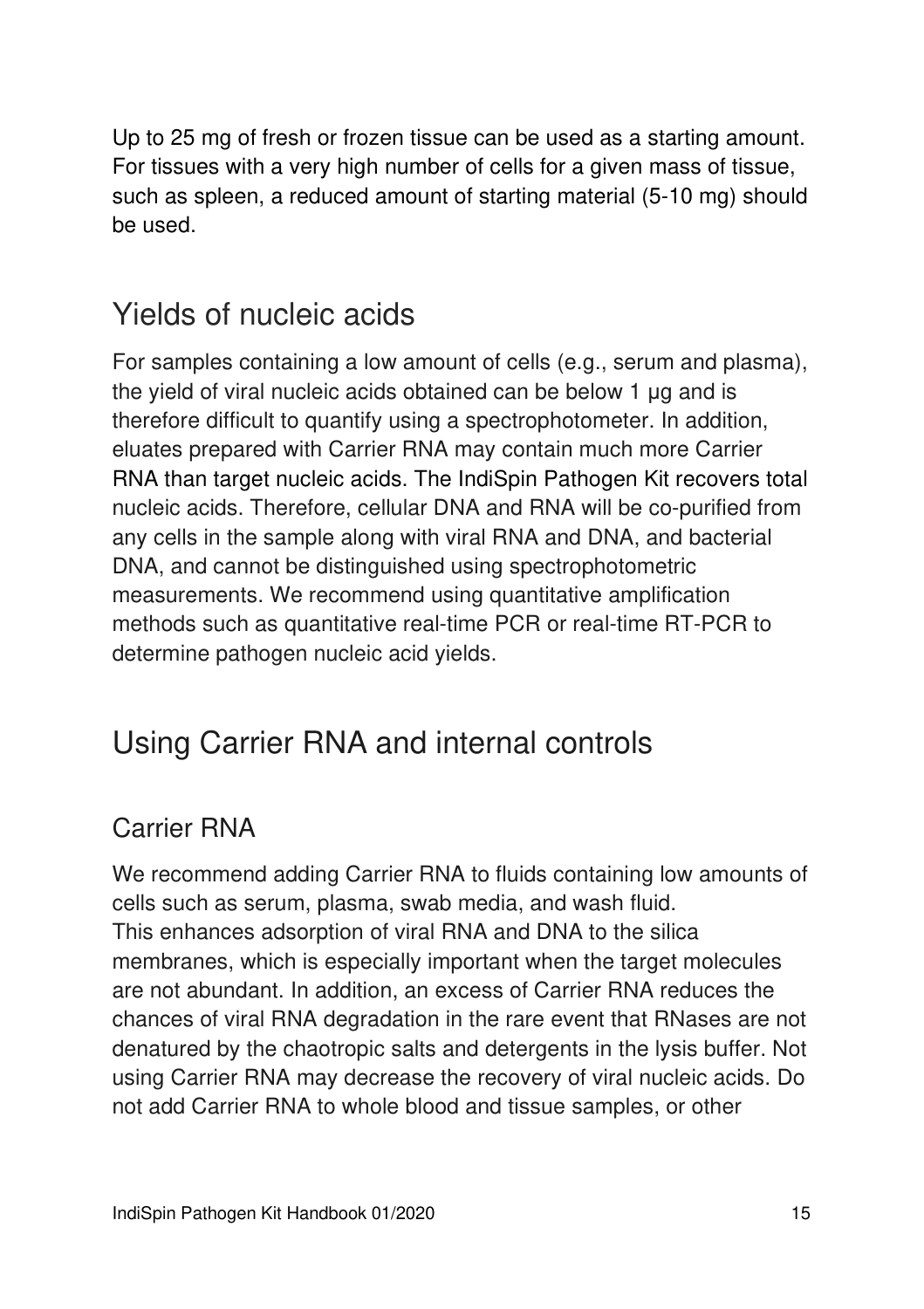Up to 25 mg of fresh or frozen tissue can be used as a starting amount. For tissues with a very high number of cells for a given mass of tissue, such as spleen, a reduced amount of starting material (5-10 mg) should be used.

### Yields of nucleic acids

For samples containing a low amount of cells (e.g., serum and plasma), the yield of viral nucleic acids obtained can be below 1 μg and is therefore difficult to quantify using a spectrophotometer. In addition, eluates prepared with Carrier RNA may contain much more Carrier RNA than target nucleic acids. The IndiSpin Pathogen Kit recovers total nucleic acids. Therefore, cellular DNA and RNA will be co-purified from any cells in the sample along with viral RNA and DNA, and bacterial DNA, and cannot be distinguished using spectrophotometric measurements. We recommend using quantitative amplification methods such as quantitative real-time PCR or real-time RT-PCR to determine pathogen nucleic acid yields.

## Using Carrier RNA and internal controls

### Carrier RNA

We recommend adding Carrier RNA to fluids containing low amounts of cells such as serum, plasma, swab media, and wash fluid. This enhances adsorption of viral RNA and DNA to the silica membranes, which is especially important when the target molecules are not abundant. In addition, an excess of Carrier RNA reduces the chances of viral RNA degradation in the rare event that RNases are not denatured by the chaotropic salts and detergents in the lysis buffer. Not using Carrier RNA may decrease the recovery of viral nucleic acids. Do not add Carrier RNA to whole blood and tissue samples, or other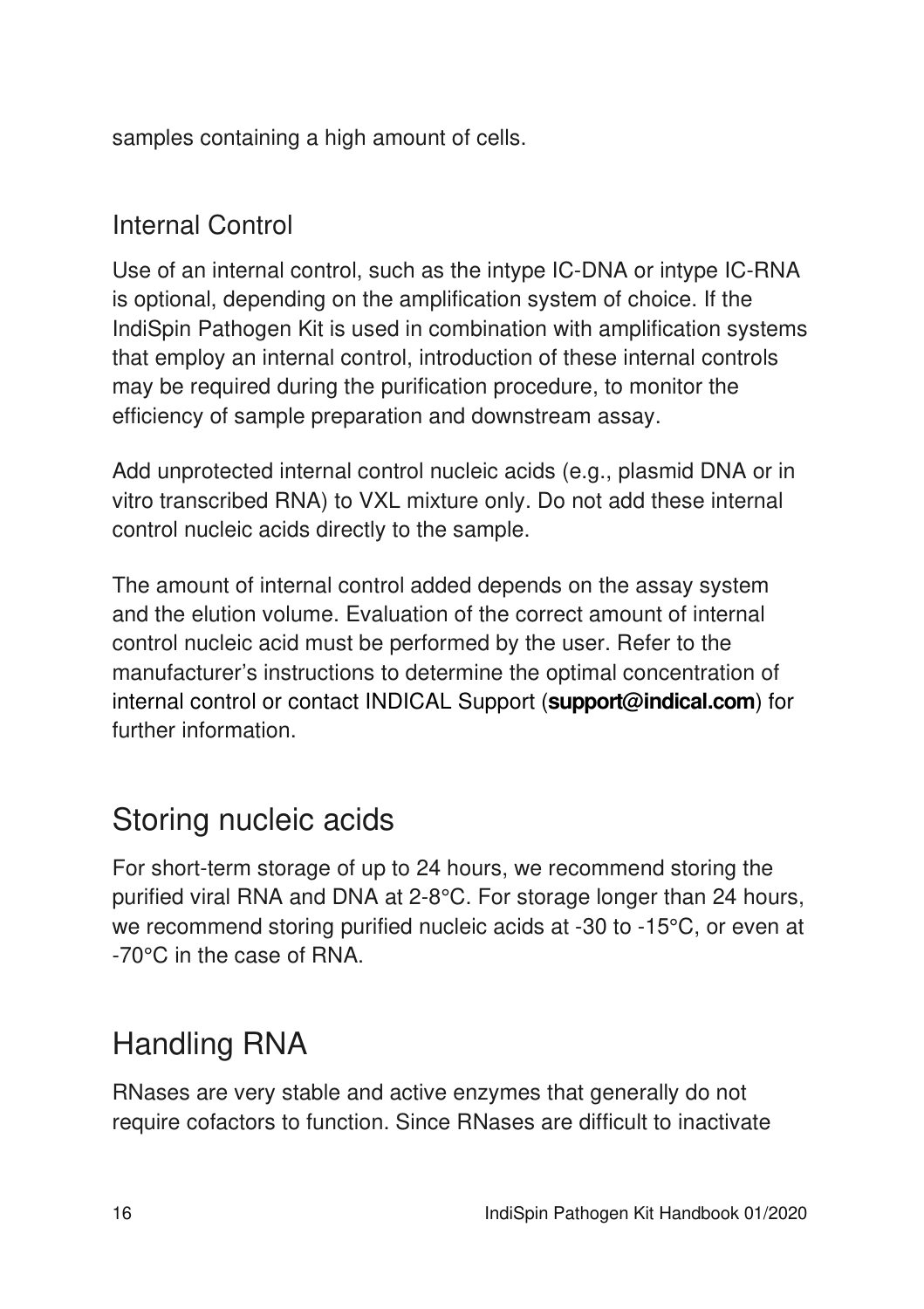samples containing a high amount of cells.

### Internal Control

Use of an internal control, such as the intype IC-DNA or intype IC-RNA is optional, depending on the amplification system of choice. If the IndiSpin Pathogen Kit is used in combination with amplification systems that employ an internal control, introduction of these internal controls may be required during the purification procedure, to monitor the efficiency of sample preparation and downstream assay.

Add unprotected internal control nucleic acids (e.g., plasmid DNA or in vitro transcribed RNA) to VXL mixture only. Do not add these internal control nucleic acids directly to the sample.

The amount of internal control added depends on the assay system and the elution volume. Evaluation of the correct amount of internal control nucleic acid must be performed by the user. Refer to the manufacturer's instructions to determine the optimal concentration of internal control or contact INDICAL Support (**support@indical.com**) for further information.

## Storing nucleic acids

For short-term storage of up to 24 hours, we recommend storing the purified viral RNA and DNA at 2-8°C. For storage longer than 24 hours, we recommend storing purified nucleic acids at -30 to -15°C, or even at -70°C in the case of RNA.

## Handling RNA

RNases are very stable and active enzymes that generally do not require cofactors to function. Since RNases are difficult to inactivate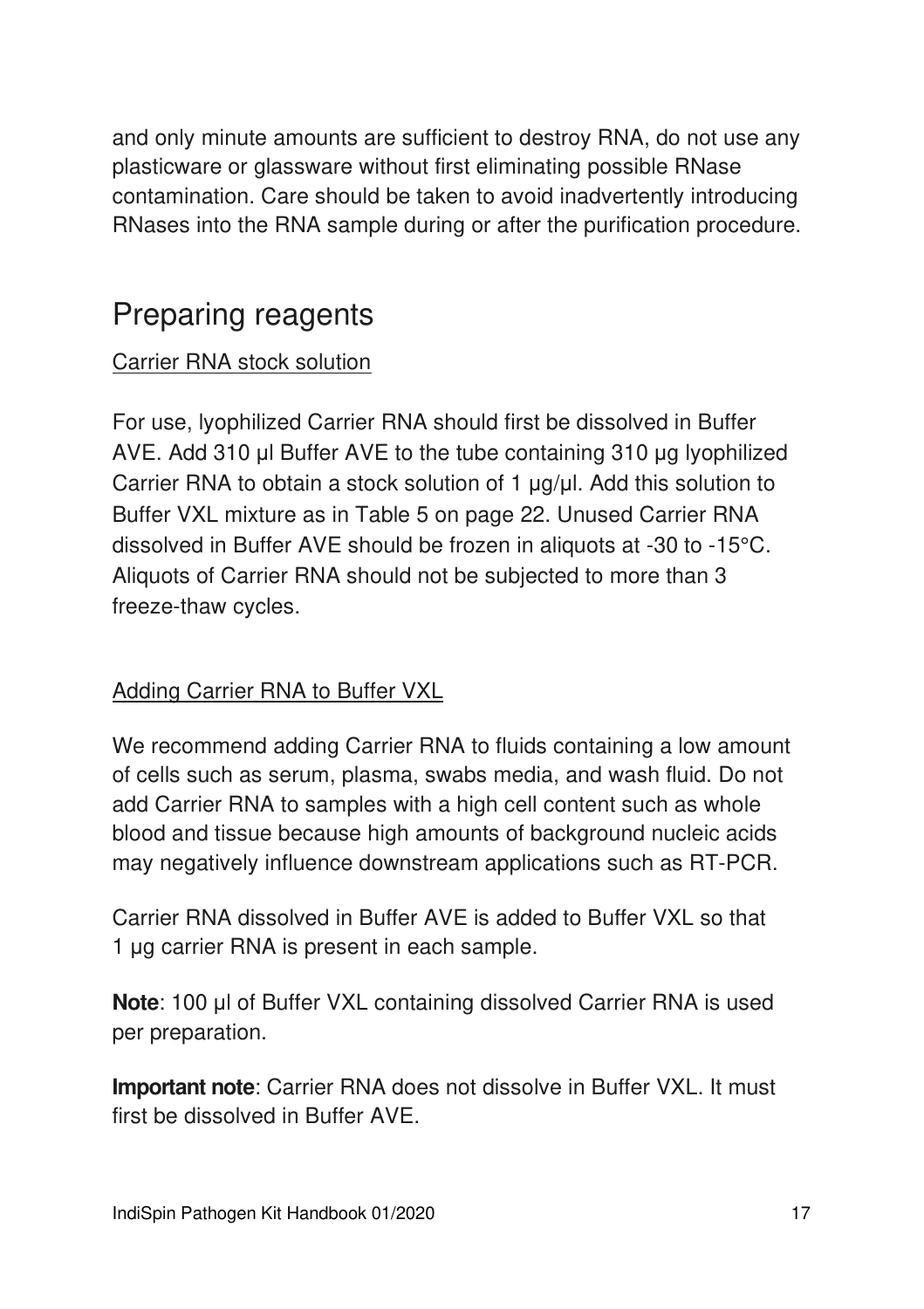and only minute amounts are sufficient to destroy RNA, do not use any plasticware or glassware without first eliminating possible RNase contamination. Care should be taken to avoid inadvertently introducing RNases into the RNA sample during or after the purification procedure.

### Preparing reagents

### Carrier RNA stock solution

For use, lyophilized Carrier RNA should first be dissolved in Buffer AVE. Add 310 μl Buffer AVE to the tube containing 310 μg lyophilized Carrier RNA to obtain a stock solution of 1 μg/μl. Add this solution to Buffer VXL mixture as in Table 5 on page 22. Unused Carrier RNA dissolved in Buffer AVE should be frozen in aliquots at -30 to -15°C. Aliquots of Carrier RNA should not be subjected to more than 3 freeze-thaw cycles.

#### Adding Carrier RNA to Buffer VXL

We recommend adding Carrier RNA to fluids containing a low amount of cells such as serum, plasma, swabs media, and wash fluid. Do not add Carrier RNA to samples with a high cell content such as whole blood and tissue because high amounts of background nucleic acids may negatively influence downstream applications such as RT-PCR.

Carrier RNA dissolved in Buffer AVE is added to Buffer VXL so that 1 μg carrier RNA is present in each sample.

**Note**: 100 μl of Buffer VXL containing dissolved Carrier RNA is used per preparation.

**Important note**: Carrier RNA does not dissolve in Buffer VXL. It must first be dissolved in Buffer AVE.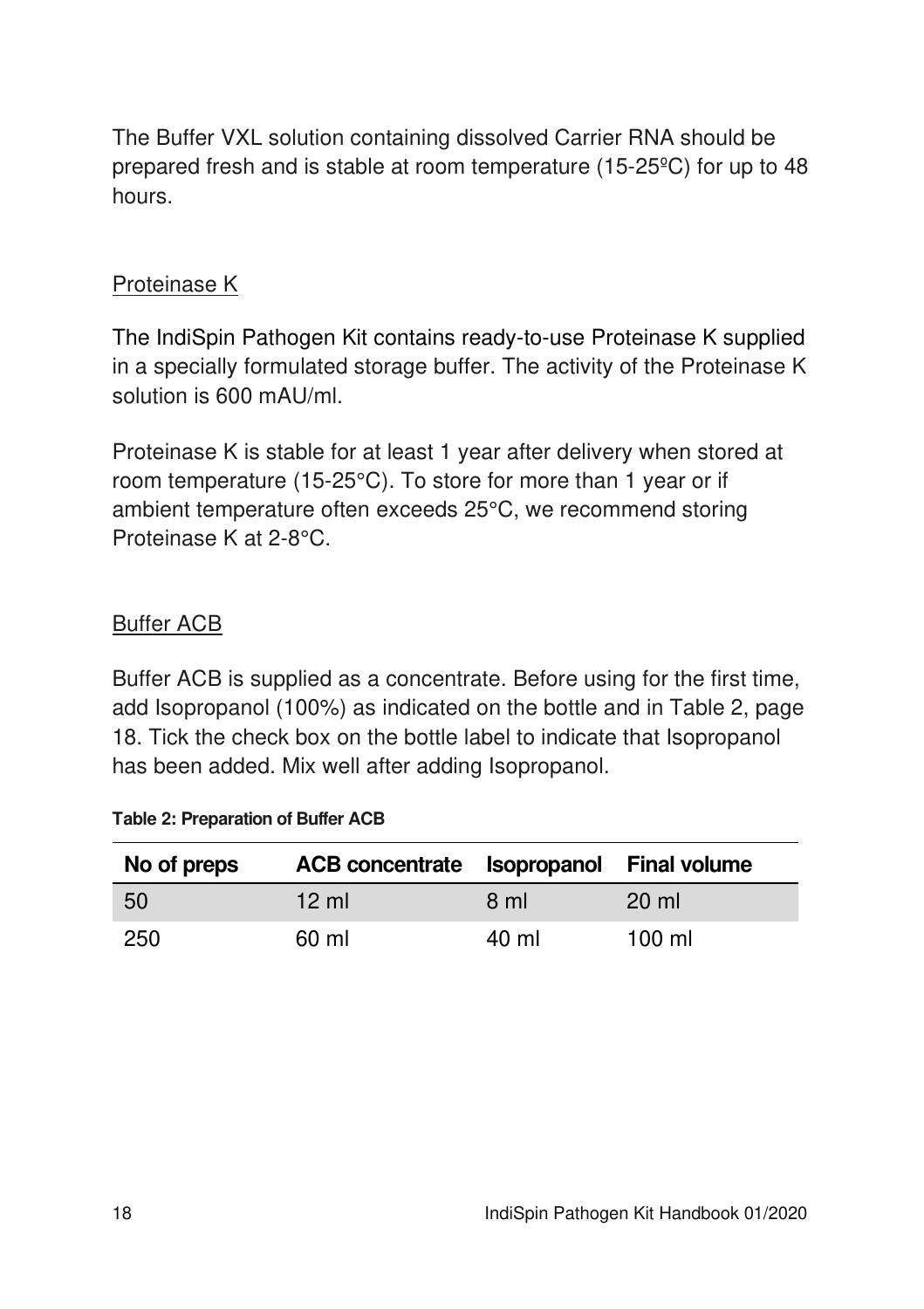The Buffer VXL solution containing dissolved Carrier RNA should be prepared fresh and is stable at room temperature (15-25ºC) for up to 48 hours.

#### Proteinase K

The IndiSpin Pathogen Kit contains ready-to-use Proteinase K supplied in a specially formulated storage buffer. The activity of the Proteinase K solution is 600 mAU/ml.

Proteinase K is stable for at least 1 year after delivery when stored at room temperature (15-25°C). To store for more than 1 year or if ambient temperature often exceeds 25°C, we recommend storing Proteinase K at 2-8°C.

### Buffer ACB

Buffer ACB is supplied as a concentrate. Before using for the first time, add Isopropanol (100%) as indicated on the bottle and in Table 2, page 18. Tick the check box on the bottle label to indicate that Isopropanol has been added. Mix well after adding Isopropanol.

| No of preps | ACB concentrate Isopropanol Final volume |       |                  |
|-------------|------------------------------------------|-------|------------------|
| 50          | $12 \text{ ml}$                          | 8 ml  | $20 \mathrm{ml}$ |
| 250         | 60 ml                                    | 40 ml | $100 \mathrm{m}$ |

**Table 2: Preparation of Buffer ACB**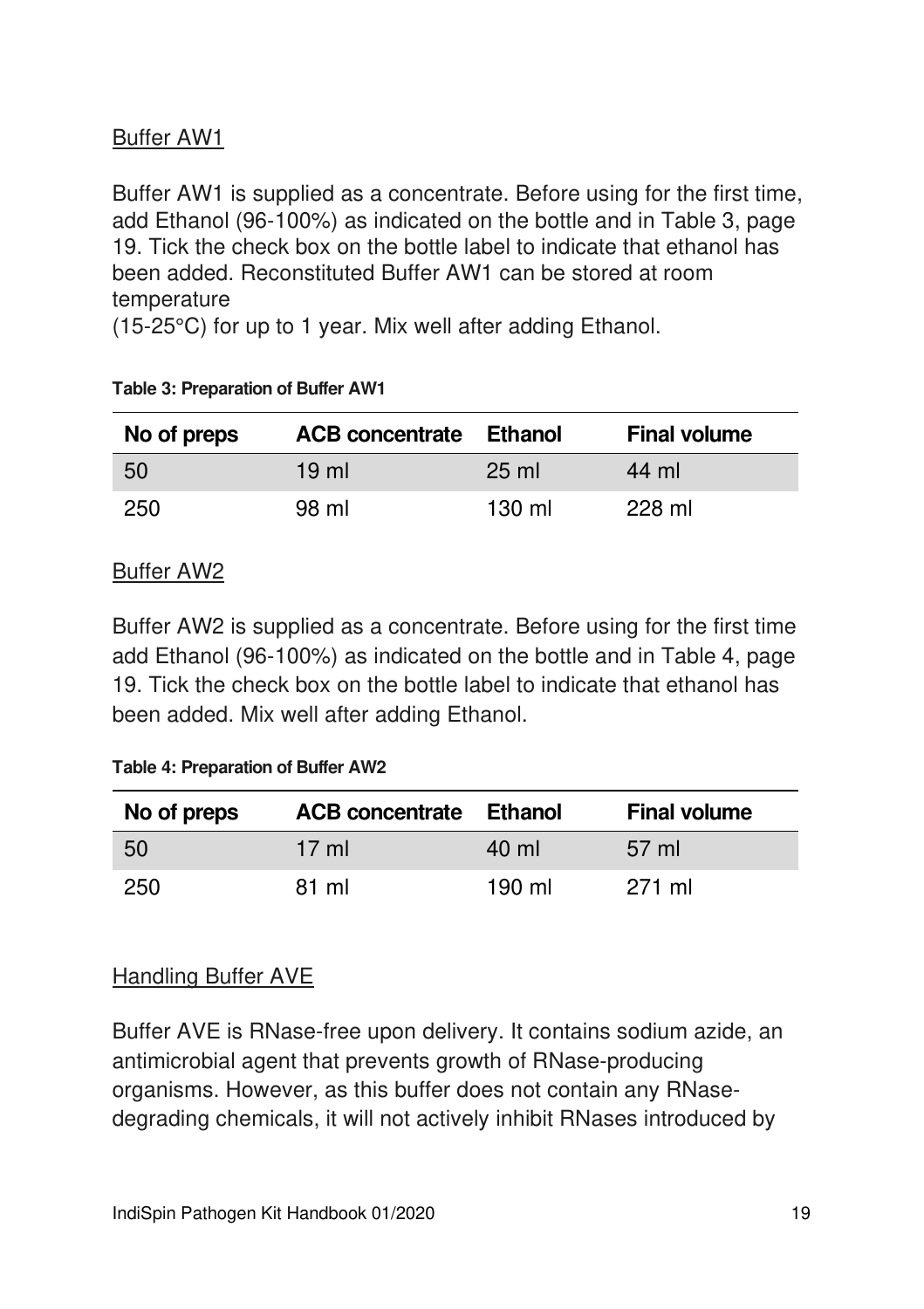### Buffer AW1

Buffer AW1 is supplied as a concentrate. Before using for the first time, add Ethanol (96-100%) as indicated on the bottle and in Table 3, page 19. Tick the check box on the bottle label to indicate that ethanol has been added. Reconstituted Buffer AW1 can be stored at room temperature

(15-25°C) for up to 1 year. Mix well after adding Ethanol.

| No of preps | <b>ACB concentrate Ethanol</b> |                  | <b>Final volume</b> |
|-------------|--------------------------------|------------------|---------------------|
| -50         | $19 \text{ ml}$                | $25 \text{ ml}$  | 44 ml               |
| 250         | 98 ml                          | $130 \mathrm{m}$ | 228 ml              |

#### **Table 3: Preparation of Buffer AW1**

#### Buffer AW2

Buffer AW2 is supplied as a concentrate. Before using for the first time add Ethanol (96-100%) as indicated on the bottle and in Table 4, page 19. Tick the check box on the bottle label to indicate that ethanol has been added. Mix well after adding Ethanol.

#### **Table 4: Preparation of Buffer AW2**

| No of preps | <b>ACB concentrate Ethanol</b> |        | <b>Final volume</b> |
|-------------|--------------------------------|--------|---------------------|
| 50          | $17 \text{ ml}$                | 40 ml  | 57 ml               |
| 250         | 81 ml                          | 190 ml | 271 ml              |

#### Handling Buffer AVE

Buffer AVE is RNase-free upon delivery. It contains sodium azide, an antimicrobial agent that prevents growth of RNase-producing organisms. However, as this buffer does not contain any RNasedegrading chemicals, it will not actively inhibit RNases introduced by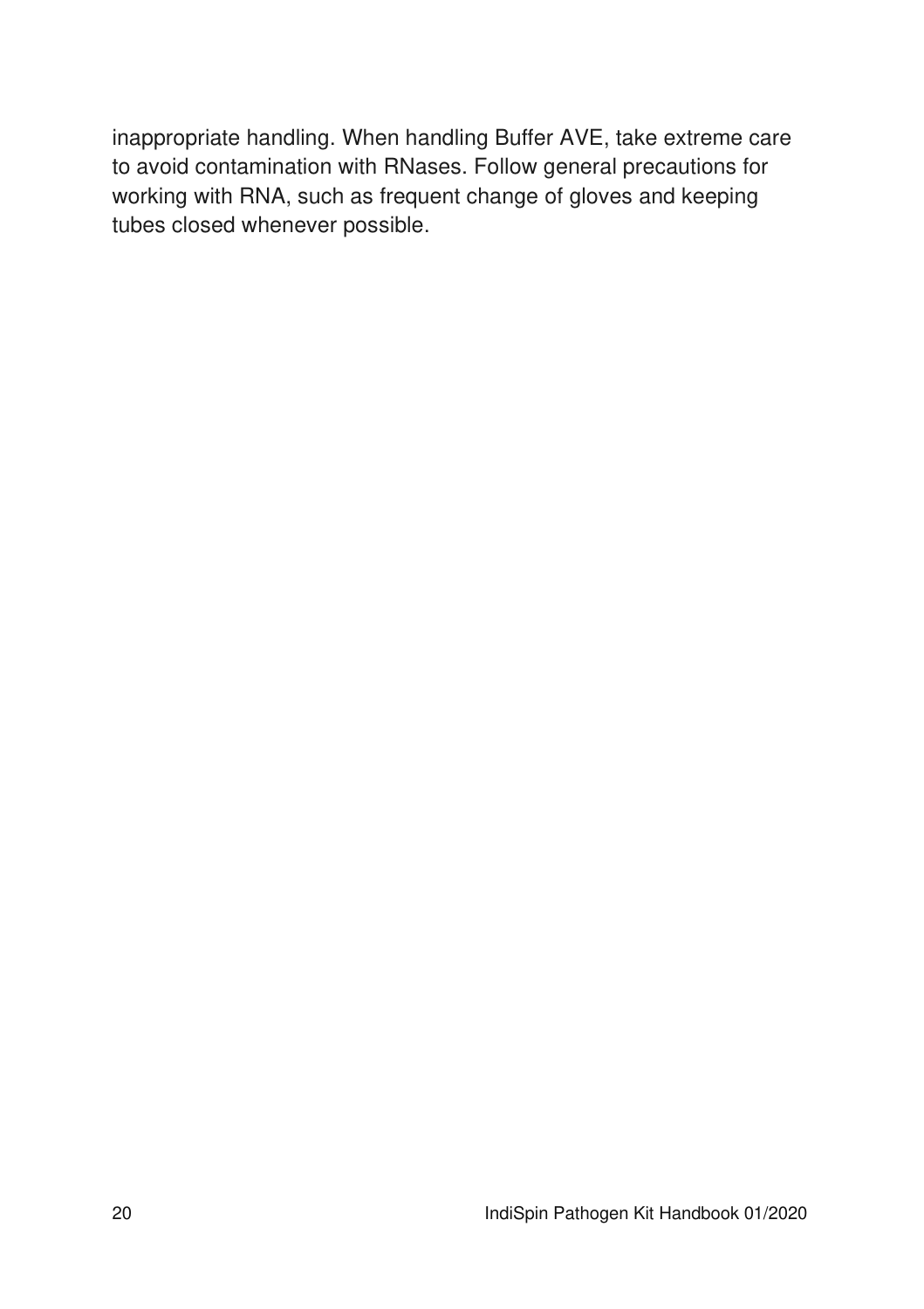inappropriate handling. When handling Buffer AVE, take extreme care to avoid contamination with RNases. Follow general precautions for working with RNA, such as frequent change of gloves and keeping tubes closed whenever possible.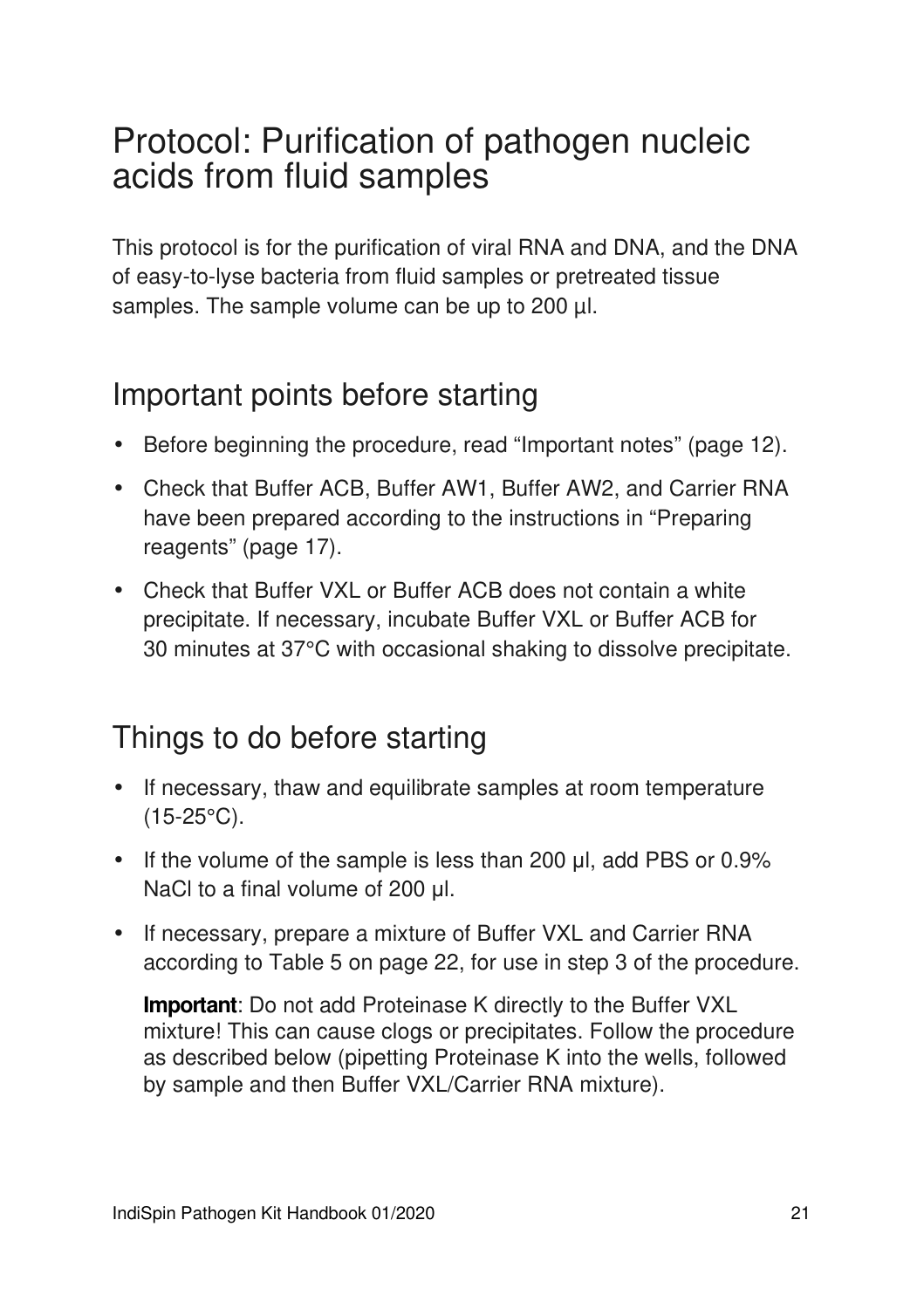## Protocol: Purification of pathogen nucleic acids from fluid samples

This protocol is for the purification of viral RNA and DNA, and the DNA of easy-to-lyse bacteria from fluid samples or pretreated tissue samples. The sample volume can be up to 200 µl.

### Important points before starting

- Before beginning the procedure, read "Important notes" (page 12).
- Check that Buffer ACB, Buffer AW1, Buffer AW2, and Carrier RNA have been prepared according to the instructions in "Preparing reagents" (page 17).
- Check that Buffer VXL or Buffer ACB does not contain a white precipitate. If necessary, incubate Buffer VXL or Buffer ACB for 30 minutes at 37°C with occasional shaking to dissolve precipitate.

## Things to do before starting

- If necessary, thaw and equilibrate samples at room temperature (15-25°C).
- If the volume of the sample is less than 200 μl, add PBS or 0.9% NaCl to a final volume of 200 μl.
- If necessary, prepare a mixture of Buffer VXL and Carrier RNA according to Table 5 on page 22, for use in step 3 of the procedure.

**Important**: Do not add Proteinase K directly to the Buffer VXL mixture! This can cause clogs or precipitates. Follow the procedure as described below (pipetting Proteinase K into the wells, followed by sample and then Buffer VXL/Carrier RNA mixture).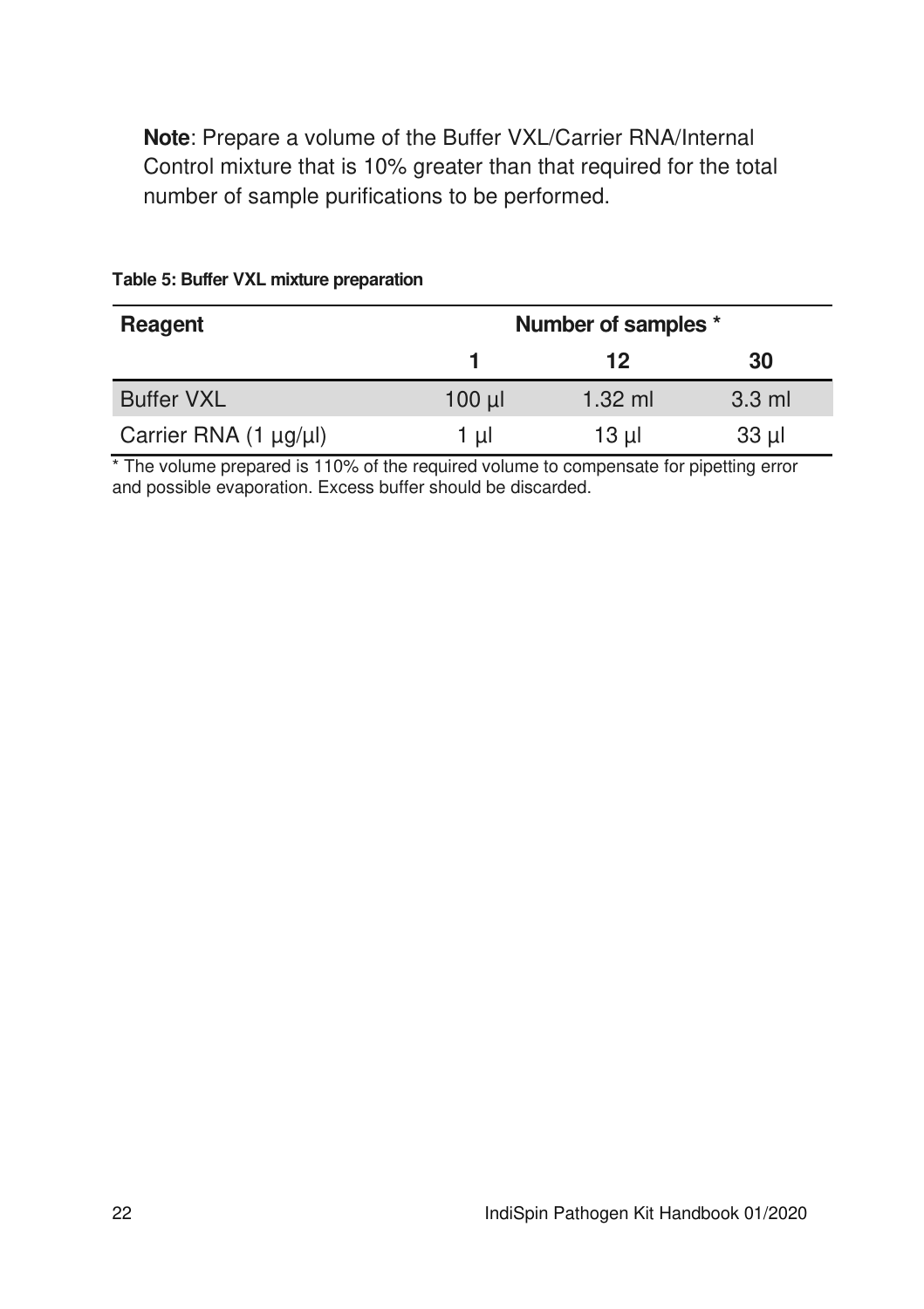**Note**: Prepare a volume of the Buffer VXL/Carrier RNA/Internal Control mixture that is 10% greater than that required for the total number of sample purifications to be performed.

| Reagent               | Number of samples * |           |          |
|-----------------------|---------------------|-----------|----------|
|                       |                     | 12        | 30       |
| <b>Buffer VXL</b>     | $100$ $\mu$         | $1.32$ ml | $3.3$ ml |
| Carrier RNA (1 µg/µl) | 1 ul                | 13 µl     | $33 \mu$ |

#### **Table 5: Buffer VXL mixture preparation**

\* The volume prepared is 110% of the required volume to compensate for pipetting error and possible evaporation. Excess buffer should be discarded.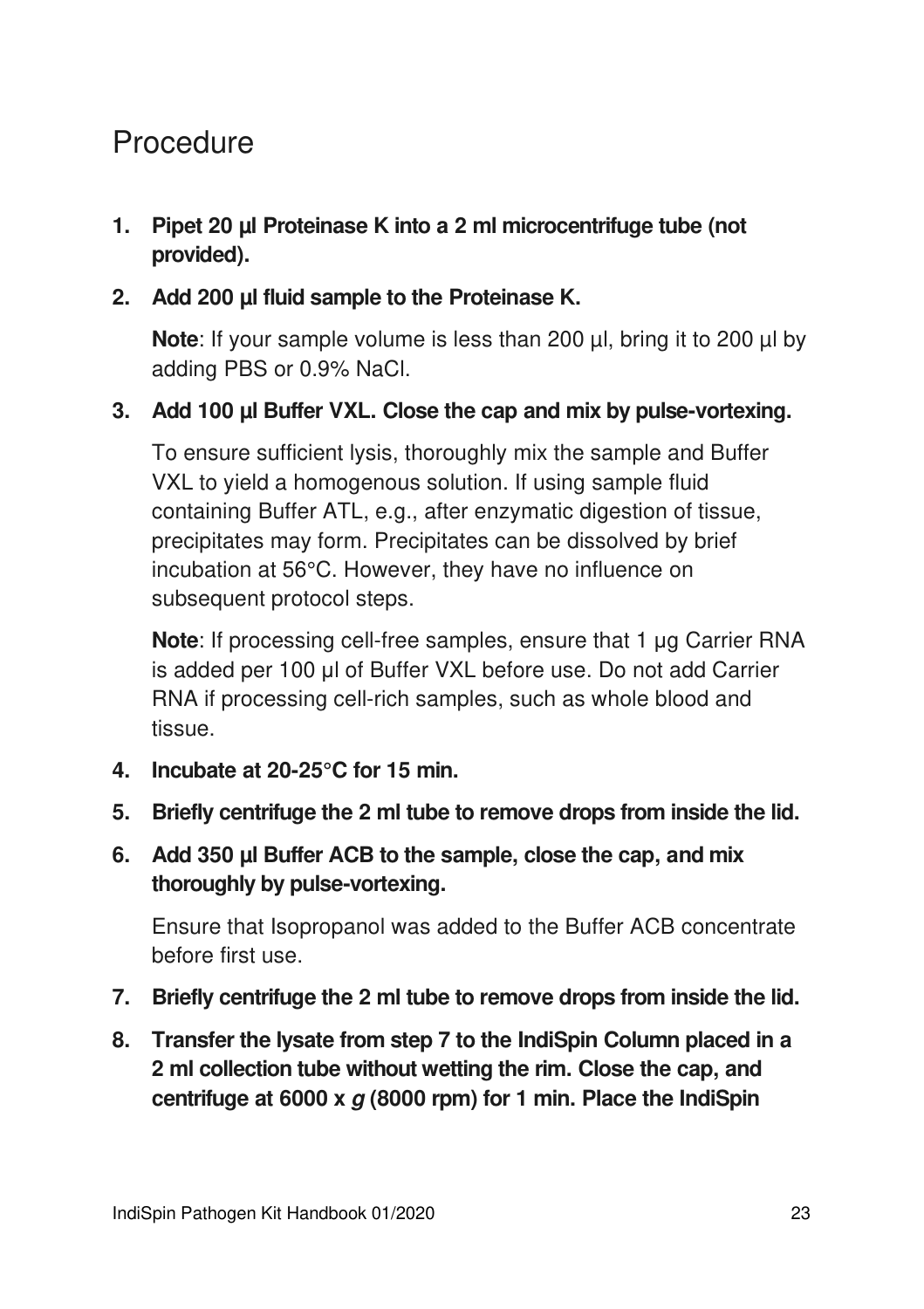## **Procedure**

- **1. Pipet 20 µl Proteinase K into a 2 ml microcentrifuge tube (not provided).**
- **2. Add 200 µl fluid sample to the Proteinase K.**

**Note:** If your sample volume is less than 200 ul, bring it to 200 ul by adding PBS or 0.9% NaCl.

#### **3. Add 100 µl Buffer VXL. Close the cap and mix by pulse-vortexing.**

To ensure sufficient lysis, thoroughly mix the sample and Buffer VXL to yield a homogenous solution. If using sample fluid containing Buffer ATL, e.g., after enzymatic digestion of tissue, precipitates may form. Precipitates can be dissolved by brief incubation at 56°C. However, they have no influence on subsequent protocol steps.

**Note**: If processing cell-free samples, ensure that 1 μg Carrier RNA is added per 100 μl of Buffer VXL before use. Do not add Carrier RNA if processing cell-rich samples, such as whole blood and tissue.

- **4. Incubate at 20-25°C for 15 min.**
- **5. Briefly centrifuge the 2 ml tube to remove drops from inside the lid.**
- **6. Add 350 µl Buffer ACB to the sample, close the cap, and mix thoroughly by pulse-vortexing.**

Ensure that Isopropanol was added to the Buffer ACB concentrate before first use.

- **7. Briefly centrifuge the 2 ml tube to remove drops from inside the lid.**
- **8. Transfer the lysate from step 7 to the IndiSpin Column placed in a 2 ml collection tube without wetting the rim. Close the cap, and centrifuge at 6000 x g (8000 rpm) for 1 min. Place the IndiSpin**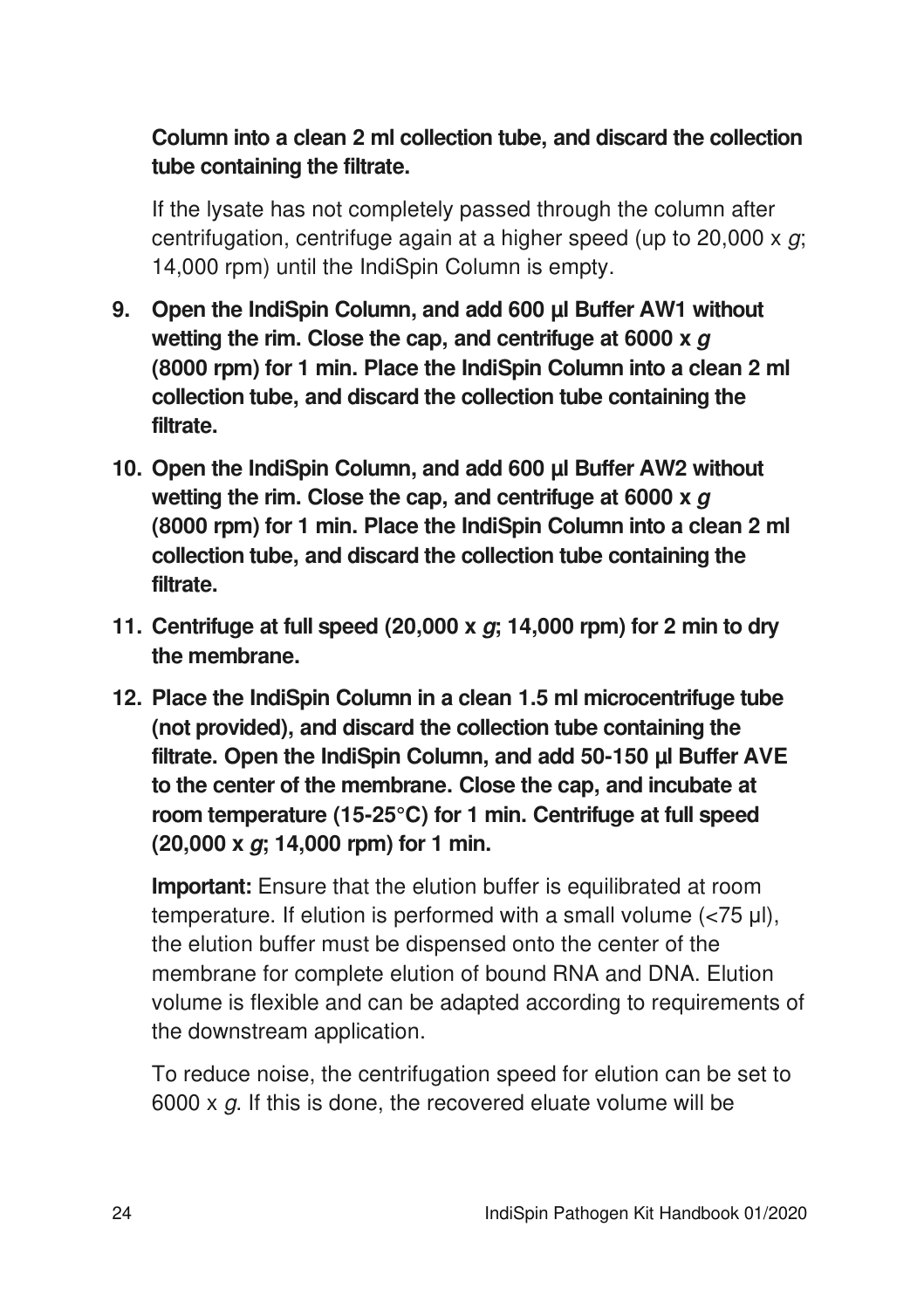### **Column into a clean 2 ml collection tube, and discard the collection tube containing the filtrate.**

If the lysate has not completely passed through the column after centrifugation, centrifuge again at a higher speed (up to  $20,000 \times q$ ; 14,000 rpm) until the IndiSpin Column is empty.

- **9. Open the IndiSpin Column, and add 600 µl Buffer AW1 without wetting the rim. Close the cap, and centrifuge at 6000 x g (8000 rpm) for 1 min. Place the IndiSpin Column into a clean 2 ml collection tube, and discard the collection tube containing the filtrate.**
- **10. Open the IndiSpin Column, and add 600 µl Buffer AW2 without wetting the rim. Close the cap, and centrifuge at 6000 x g (8000 rpm) for 1 min. Place the IndiSpin Column into a clean 2 ml collection tube, and discard the collection tube containing the filtrate.**
- **11. Centrifuge at full speed (20,000 x g; 14,000 rpm) for 2 min to dry the membrane.**
- **12. Place the IndiSpin Column in a clean 1.5 ml microcentrifuge tube (not provided), and discard the collection tube containing the filtrate. Open the IndiSpin Column, and add 50-150 µl Buffer AVE to the center of the membrane. Close the cap, and incubate at room temperature (15-25°C) for 1 min. Centrifuge at full speed (20,000 x g; 14,000 rpm) for 1 min.**

**Important:** Ensure that the elution buffer is equilibrated at room temperature. If elution is performed with a small volume (<75 μl), the elution buffer must be dispensed onto the center of the membrane for complete elution of bound RNA and DNA. Elution volume is flexible and can be adapted according to requirements of the downstream application.

To reduce noise, the centrifugation speed for elution can be set to 6000 x  $g$ . If this is done, the recovered eluate volume will be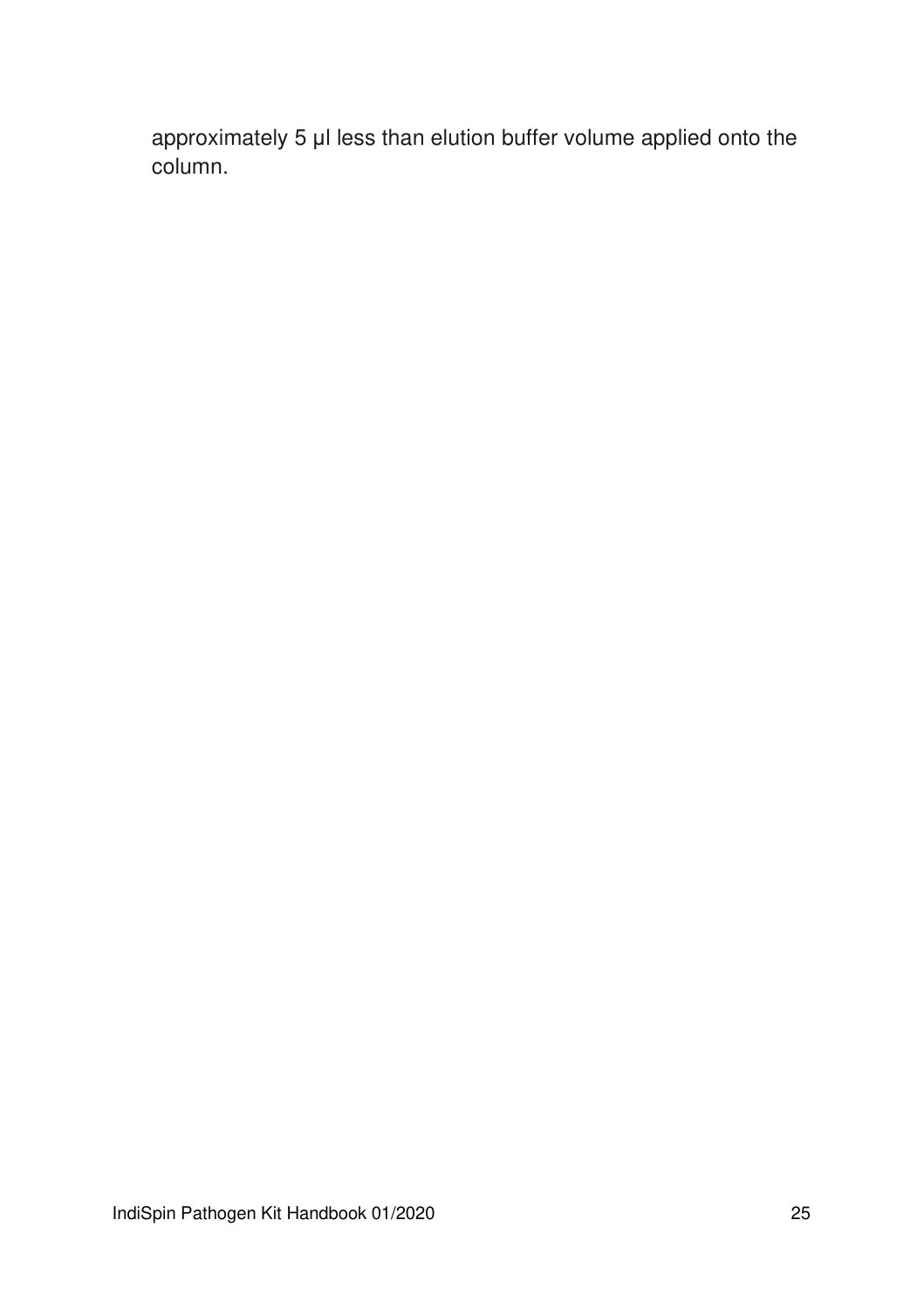approximately 5 μl less than elution buffer volume applied onto the column.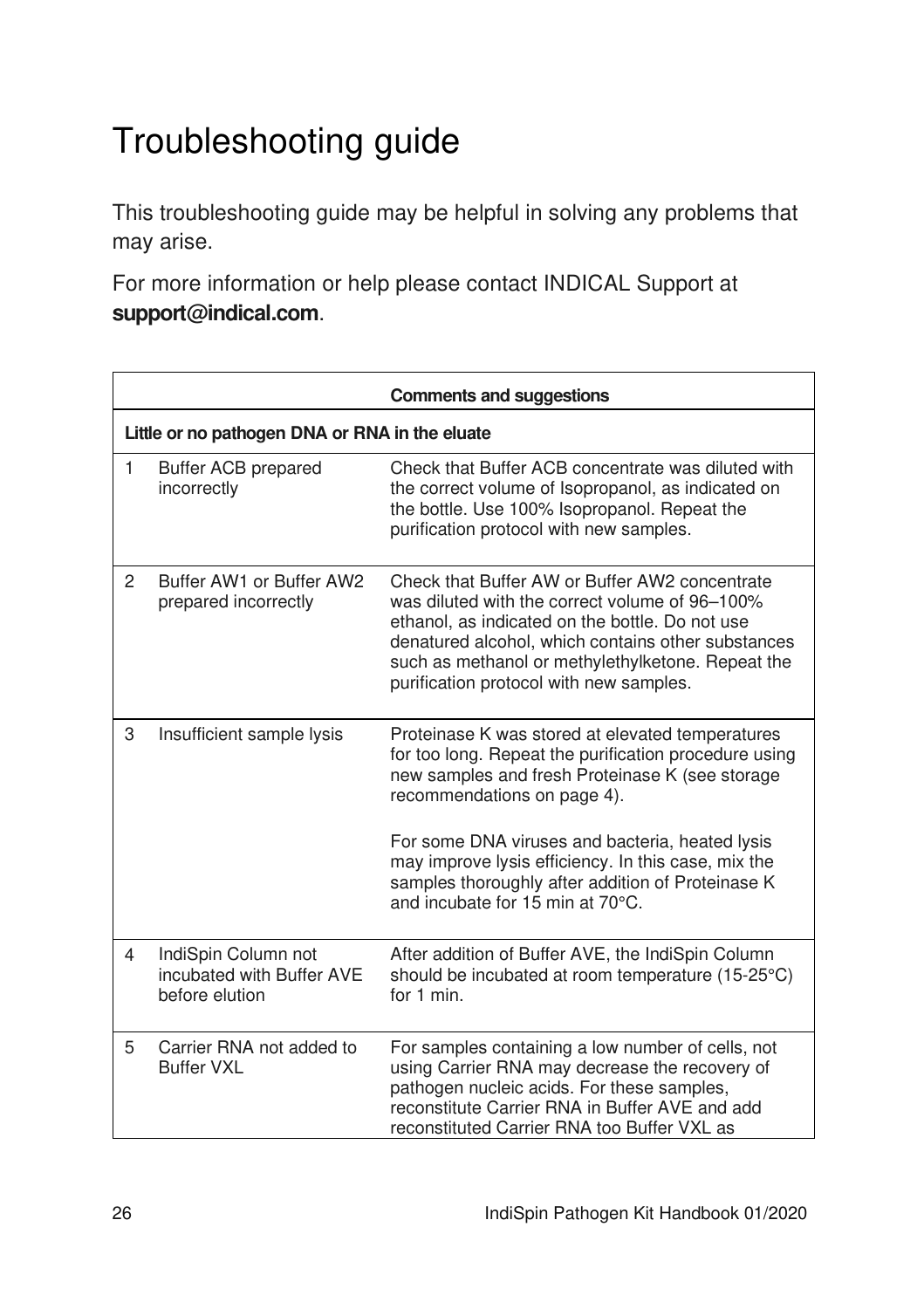## Troubleshooting guide

This troubleshooting guide may be helpful in solving any problems that may arise.

For more information or help please contact INDICAL Support at **support@indical.com**.

|                |                                                                    | <b>Comments and suggestions</b>                                                                                                                                                                                                                                                                                                                                                                |  |  |  |  |
|----------------|--------------------------------------------------------------------|------------------------------------------------------------------------------------------------------------------------------------------------------------------------------------------------------------------------------------------------------------------------------------------------------------------------------------------------------------------------------------------------|--|--|--|--|
|                | Little or no pathogen DNA or RNA in the eluate                     |                                                                                                                                                                                                                                                                                                                                                                                                |  |  |  |  |
| 1              | Buffer ACB prepared<br>incorrectly                                 | Check that Buffer ACB concentrate was diluted with<br>the correct volume of Isopropanol, as indicated on<br>the bottle. Use 100% Isopropanol. Repeat the<br>purification protocol with new samples.                                                                                                                                                                                            |  |  |  |  |
| $\overline{2}$ | Buffer AW1 or Buffer AW2<br>prepared incorrectly                   | Check that Buffer AW or Buffer AW2 concentrate<br>was diluted with the correct volume of 96-100%<br>ethanol, as indicated on the bottle. Do not use<br>denatured alcohol, which contains other substances<br>such as methanol or methylethylketone. Repeat the<br>purification protocol with new samples.                                                                                      |  |  |  |  |
| 3              | Insufficient sample lysis                                          | Proteinase K was stored at elevated temperatures<br>for too long. Repeat the purification procedure using<br>new samples and fresh Proteinase K (see storage<br>recommendations on page 4).<br>For some DNA viruses and bacteria, heated lysis<br>may improve lysis efficiency. In this case, mix the<br>samples thoroughly after addition of Proteinase K<br>and incubate for 15 min at 70°C. |  |  |  |  |
| 4              | IndiSpin Column not<br>incubated with Buffer AVE<br>before elution | After addition of Buffer AVE, the IndiSpin Column<br>should be incubated at room temperature (15-25°C)<br>for 1 min.                                                                                                                                                                                                                                                                           |  |  |  |  |
| 5              | Carrier RNA not added to<br><b>Buffer VXI</b>                      | For samples containing a low number of cells, not<br>using Carrier RNA may decrease the recovery of<br>pathogen nucleic acids. For these samples,<br>reconstitute Carrier RNA in Buffer AVE and add<br>reconstituted Carrier RNA too Buffer VXL as                                                                                                                                             |  |  |  |  |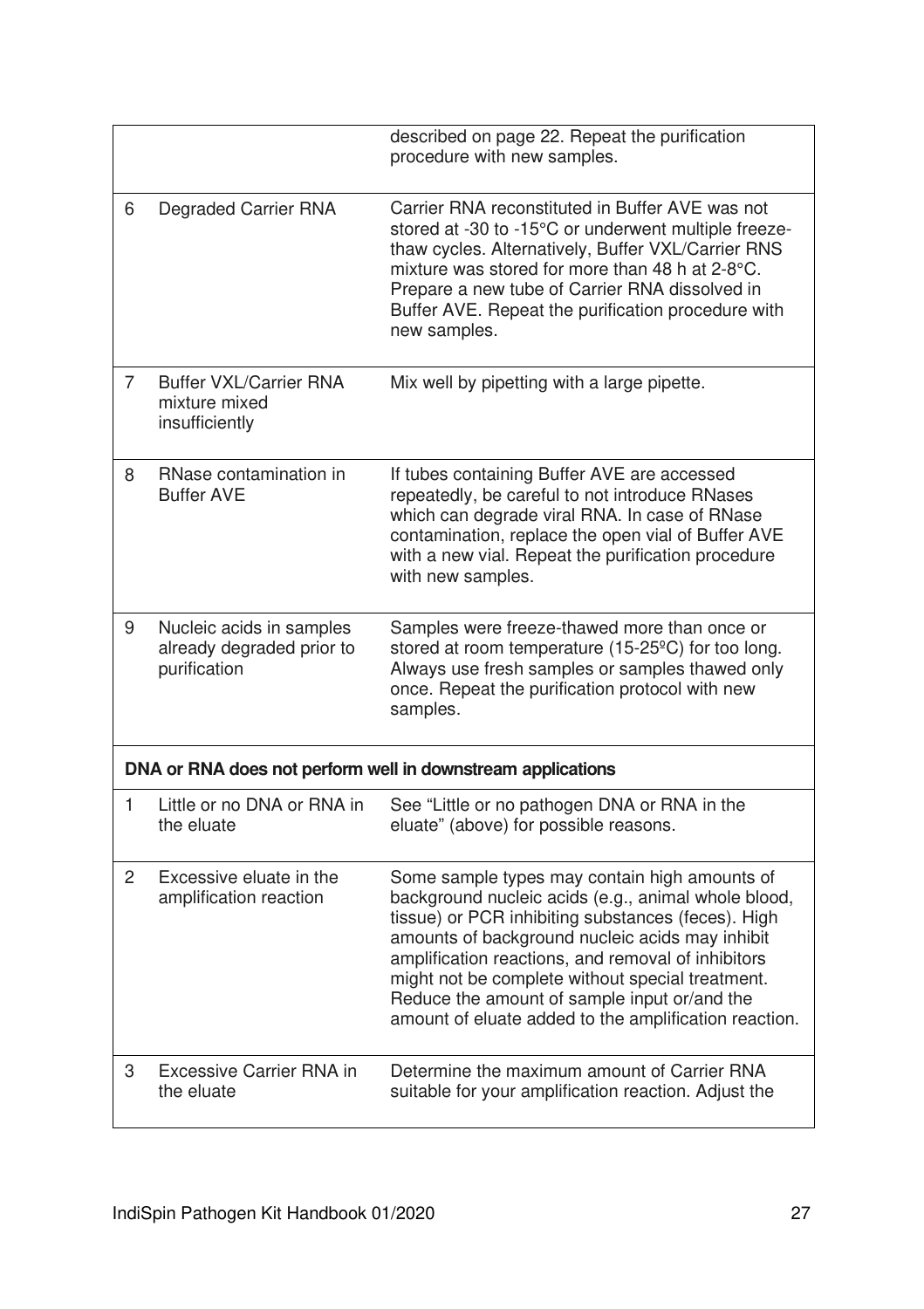|                |                                                                       | described on page 22. Repeat the purification<br>procedure with new samples.                                                                                                                                                                                                                                                                                                                                                     |
|----------------|-----------------------------------------------------------------------|----------------------------------------------------------------------------------------------------------------------------------------------------------------------------------------------------------------------------------------------------------------------------------------------------------------------------------------------------------------------------------------------------------------------------------|
| 6              | Degraded Carrier RNA                                                  | Carrier RNA reconstituted in Buffer AVE was not<br>stored at -30 to -15°C or underwent multiple freeze-<br>thaw cycles. Alternatively, Buffer VXL/Carrier RNS<br>mixture was stored for more than 48 h at 2-8°C.<br>Prepare a new tube of Carrier RNA dissolved in<br>Buffer AVE. Repeat the purification procedure with<br>new samples.                                                                                         |
| $\overline{7}$ | <b>Buffer VXL/Carrier RNA</b><br>mixture mixed<br>insufficiently      | Mix well by pipetting with a large pipette.                                                                                                                                                                                                                                                                                                                                                                                      |
| 8              | RNase contamination in<br><b>Buffer AVE</b>                           | If tubes containing Buffer AVE are accessed<br>repeatedly, be careful to not introduce RNases<br>which can degrade viral RNA. In case of RNase<br>contamination, replace the open vial of Buffer AVE<br>with a new vial. Repeat the purification procedure<br>with new samples.                                                                                                                                                  |
| 9              | Nucleic acids in samples<br>already degraded prior to<br>purification | Samples were freeze-thawed more than once or<br>stored at room temperature (15-25°C) for too long.<br>Always use fresh samples or samples thawed only<br>once. Repeat the purification protocol with new<br>samples.                                                                                                                                                                                                             |
|                |                                                                       | DNA or RNA does not perform well in downstream applications                                                                                                                                                                                                                                                                                                                                                                      |
| 1              | Little or no DNA or RNA in<br>the eluate                              | See "Little or no pathogen DNA or RNA in the<br>eluate" (above) for possible reasons.                                                                                                                                                                                                                                                                                                                                            |
| $\overline{c}$ | Excessive eluate in the<br>amplification reaction                     | Some sample types may contain high amounts of<br>background nucleic acids (e.g., animal whole blood,<br>tissue) or PCR inhibiting substances (feces). High<br>amounts of background nucleic acids may inhibit<br>amplification reactions, and removal of inhibitors<br>might not be complete without special treatment.<br>Reduce the amount of sample input or/and the<br>amount of eluate added to the amplification reaction. |
| 3              | Excessive Carrier RNA in<br>the eluate                                | Determine the maximum amount of Carrier RNA<br>suitable for your amplification reaction. Adjust the                                                                                                                                                                                                                                                                                                                              |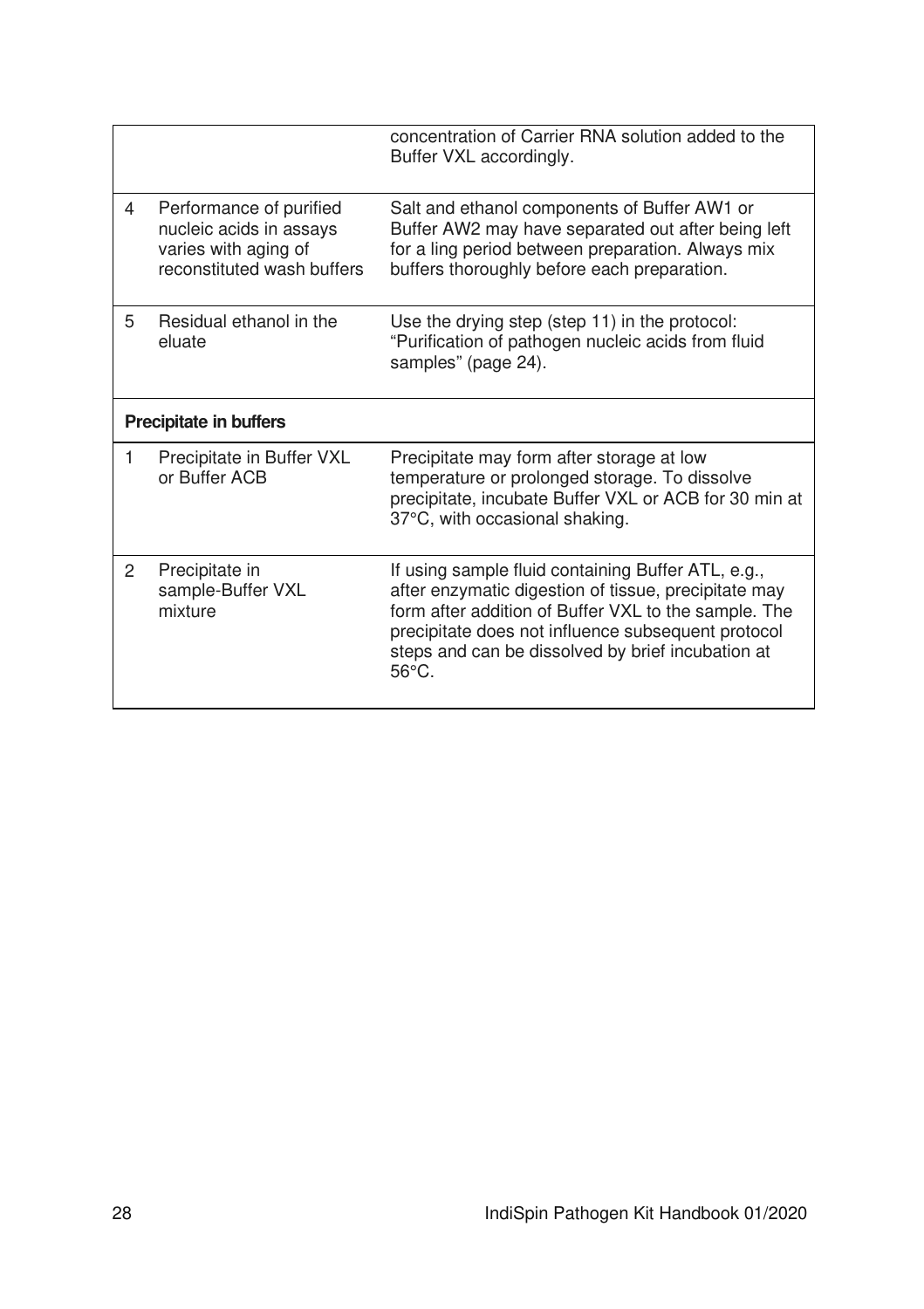|                |                                                                                                          | concentration of Carrier RNA solution added to the<br>Buffer VXL accordingly.                                                                                                                                                                                                                    |
|----------------|----------------------------------------------------------------------------------------------------------|--------------------------------------------------------------------------------------------------------------------------------------------------------------------------------------------------------------------------------------------------------------------------------------------------|
| 4              | Performance of purified<br>nucleic acids in assays<br>varies with aging of<br>reconstituted wash buffers | Salt and ethanol components of Buffer AW1 or<br>Buffer AW2 may have separated out after being left<br>for a ling period between preparation. Always mix<br>buffers thoroughly before each preparation.                                                                                           |
| 5              | Residual ethanol in the<br>eluate                                                                        | Use the drying step (step 11) in the protocol:<br>"Purification of pathogen nucleic acids from fluid<br>samples" (page 24).                                                                                                                                                                      |
|                | <b>Precipitate in buffers</b>                                                                            |                                                                                                                                                                                                                                                                                                  |
| 1              | Precipitate in Buffer VXL<br>or Buffer ACB                                                               | Precipitate may form after storage at low<br>temperature or prolonged storage. To dissolve<br>precipitate, incubate Buffer VXL or ACB for 30 min at<br>37°C, with occasional shaking.                                                                                                            |
| $\overline{2}$ | Precipitate in<br>sample-Buffer VXL<br>mixture                                                           | If using sample fluid containing Buffer ATL, e.g.,<br>after enzymatic digestion of tissue, precipitate may<br>form after addition of Buffer VXL to the sample. The<br>precipitate does not influence subsequent protocol<br>steps and can be dissolved by brief incubation at<br>$56^{\circ}$ C. |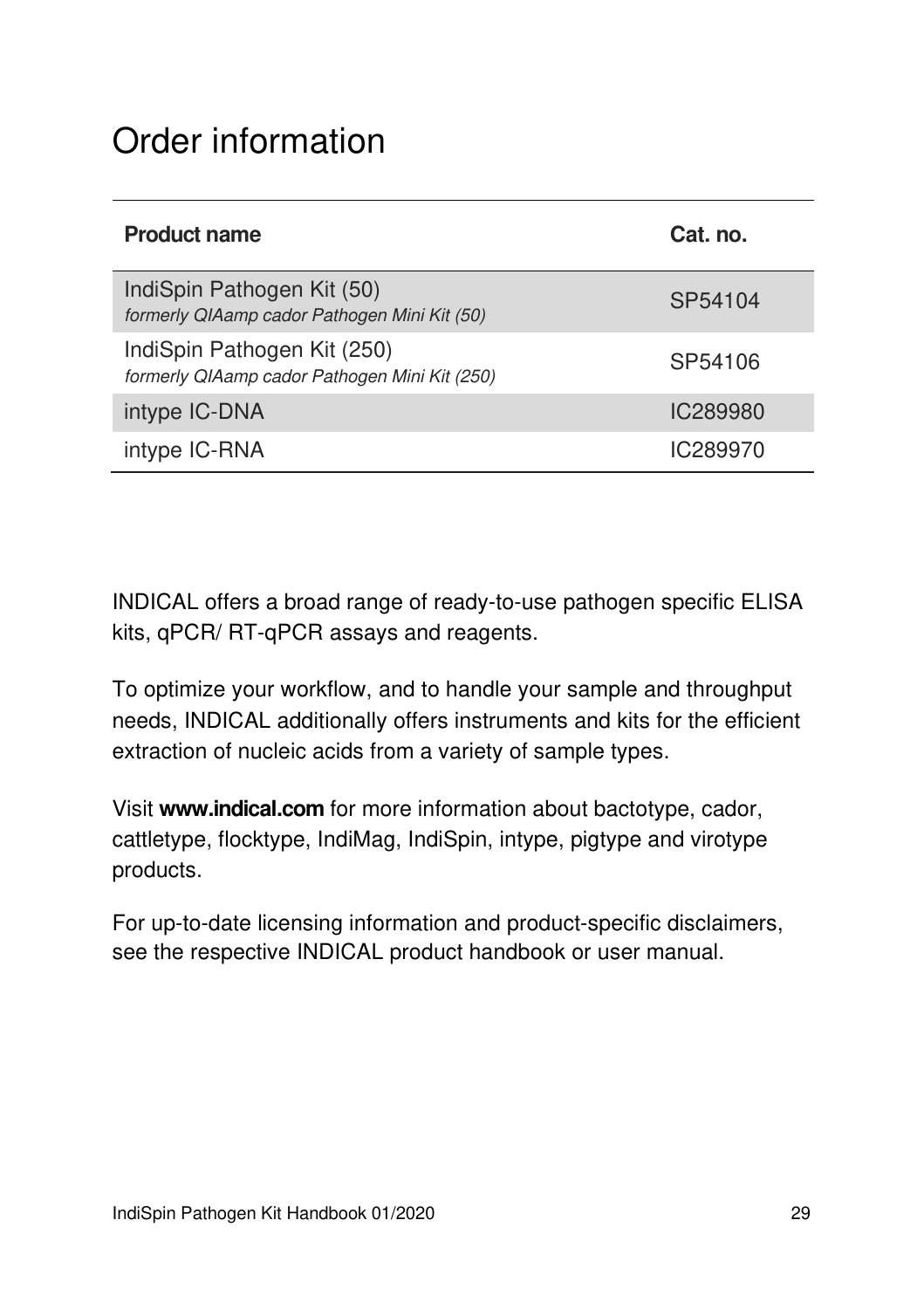## Order information

| <b>Product name</b>                                                          | Cat. no. |
|------------------------------------------------------------------------------|----------|
| IndiSpin Pathogen Kit (50)<br>formerly QIAamp cador Pathogen Mini Kit (50)   | SP54104  |
| IndiSpin Pathogen Kit (250)<br>formerly QIAamp cador Pathogen Mini Kit (250) | SP54106  |
| intype IC-DNA                                                                | IC289980 |
| intype IC-RNA                                                                | IC289970 |

INDICAL offers a broad range of ready-to-use pathogen specific ELISA kits, qPCR/ RT-qPCR assays and reagents.

To optimize your workflow, and to handle your sample and throughput needs, INDICAL additionally offers instruments and kits for the efficient extraction of nucleic acids from a variety of sample types.

Visit **www.indical.com** for more information about bactotype, cador, cattletype, flocktype, IndiMag, IndiSpin, intype, pigtype and virotype products.

For up-to-date licensing information and product-specific disclaimers, see the respective INDICAL product handbook or user manual.